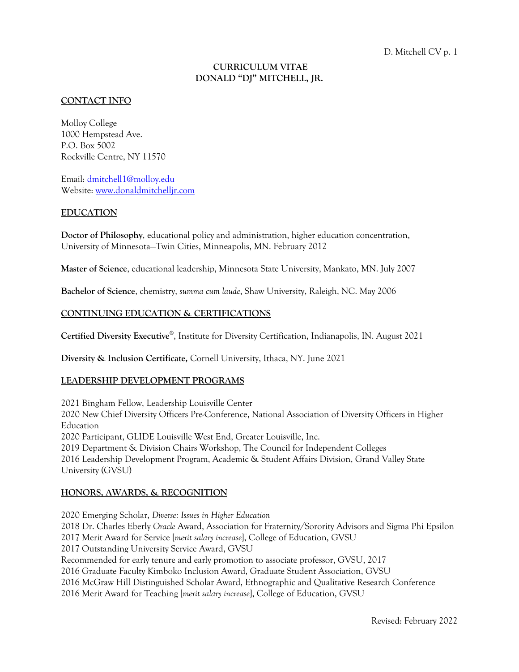### **CURRICULUM VITAE DONALD "DJ" MITCHELL, JR.**

#### **CONTACT INFO**

Molloy College 1000 Hempstead Ave. P.O. Box 5002 Rockville Centre, NY 11570

Email: dmitchell1@molloy.edu Website: www.donaldmitchelljr.com

#### **EDUCATION**

**Doctor of Philosophy**, educational policy and administration, higher education concentration, University of Minnesota—Twin Cities, Minneapolis, MN. February 2012

**Master of Science**, educational leadership, Minnesota State University, Mankato, MN. July 2007

**Bachelor of Science**, chemistry, *summa cum laude*, Shaw University, Raleigh, NC. May 2006

#### **CONTINUING EDUCATION & CERTIFICATIONS**

**Certified Diversity Executive®**, Institute for Diversity Certification, Indianapolis, IN. August 2021

**Diversity & Inclusion Certificate,** Cornell University, Ithaca, NY. June 2021

#### **LEADERSHIP DEVELOPMENT PROGRAMS**

2021 Bingham Fellow, Leadership Louisville Center 2020 New Chief Diversity Officers Pre-Conference, National Association of Diversity Officers in Higher Education 2020 Participant, GLIDE Louisville West End, Greater Louisville, Inc. 2019 Department & Division Chairs Workshop, The Council for Independent Colleges 2016 Leadership Development Program, Academic & Student Affairs Division, Grand Valley State University (GVSU)

#### **HONORS, AWARDS, & RECOGNITION**

2020 Emerging Scholar, *Diverse: Issues in Higher Education* 2018 Dr. Charles Eberly *Oracle* Award, Association for Fraternity/Sorority Advisors and Sigma Phi Epsilon 2017 Merit Award for Service [*merit salary increase*], College of Education, GVSU 2017 Outstanding University Service Award, GVSU Recommended for early tenure and early promotion to associate professor, GVSU, 2017 2016 Graduate Faculty Kimboko Inclusion Award, Graduate Student Association, GVSU 2016 McGraw Hill Distinguished Scholar Award, Ethnographic and Qualitative Research Conference 2016 Merit Award for Teaching [*merit salary increase*], College of Education, GVSU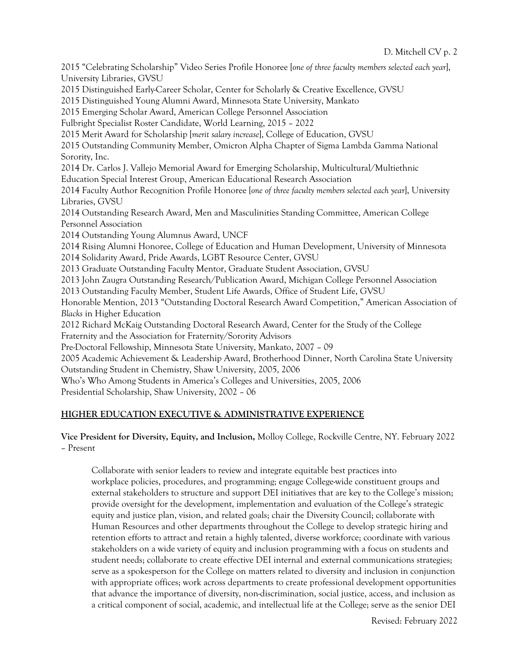2015 "Celebrating Scholarship" Video Series Profile Honoree [*one of three faculty members selected each year*], University Libraries, GVSU 2015 Distinguished Early-Career Scholar, Center for Scholarly & Creative Excellence, GVSU 2015 Distinguished Young Alumni Award, Minnesota State University, Mankato 2015 Emerging Scholar Award, American College Personnel Association Fulbright Specialist Roster Candidate, World Learning, 2015 – 2022 2015 Merit Award for Scholarship [*merit salary increase*], College of Education, GVSU 2015 Outstanding Community Member, Omicron Alpha Chapter of Sigma Lambda Gamma National Sorority, Inc. 2014 Dr. Carlos J. Vallejo Memorial Award for Emerging Scholarship, Multicultural/Multiethnic Education Special Interest Group, American Educational Research Association 2014 Faculty Author Recognition Profile Honoree [*one of three faculty members selected each year*], University Libraries, GVSU 2014 Outstanding Research Award, Men and Masculinities Standing Committee, American College Personnel Association 2014 Outstanding Young Alumnus Award, UNCF 2014 Rising Alumni Honoree, College of Education and Human Development, University of Minnesota 2014 Solidarity Award, Pride Awards, LGBT Resource Center, GVSU 2013 Graduate Outstanding Faculty Mentor, Graduate Student Association, GVSU 2013 John Zaugra Outstanding Research/Publication Award, Michigan College Personnel Association 2013 Outstanding Faculty Member, Student Life Awards, Office of Student Life, GVSU Honorable Mention, 2013 "Outstanding Doctoral Research Award Competition," American Association of *Blacks* in Higher Education 2012 Richard McKaig Outstanding Doctoral Research Award, Center for the Study of the College Fraternity and the Association for Fraternity/Sorority Advisors Pre-Doctoral Fellowship, Minnesota State University, Mankato, 2007 – 09 2005 Academic Achievement & Leadership Award, Brotherhood Dinner, North Carolina State University Outstanding Student in Chemistry, Shaw University, 2005, 2006 Who's Who Among Students in America's Colleges and Universities, 2005, 2006 Presidential Scholarship, Shaw University, 2002 – 06

# **HIGHER EDUCATION EXECUTIVE & ADMINISTRATIVE EXPERIENCE**

# **Vice President for Diversity, Equity, and Inclusion,** Molloy College, Rockville Centre, NY. February 2022 – Present

Collaborate with senior leaders to review and integrate equitable best practices into workplace policies, procedures, and programming; engage College-wide constituent groups and external stakeholders to structure and support DEI initiatives that are key to the College's mission; provide oversight for the development, implementation and evaluation of the College's strategic equity and justice plan, vision, and related goals; chair the Diversity Council; collaborate with Human Resources and other departments throughout the College to develop strategic hiring and retention efforts to attract and retain a highly talented, diverse workforce; coordinate with various stakeholders on a wide variety of equity and inclusion programming with a focus on students and student needs; collaborate to create effective DEI internal and external communications strategies; serve as a spokesperson for the College on matters related to diversity and inclusion in conjunction with appropriate offices; work across departments to create professional development opportunities that advance the importance of diversity, non-discrimination, social justice, access, and inclusion as a critical component of social, academic, and intellectual life at the College; serve as the senior DEI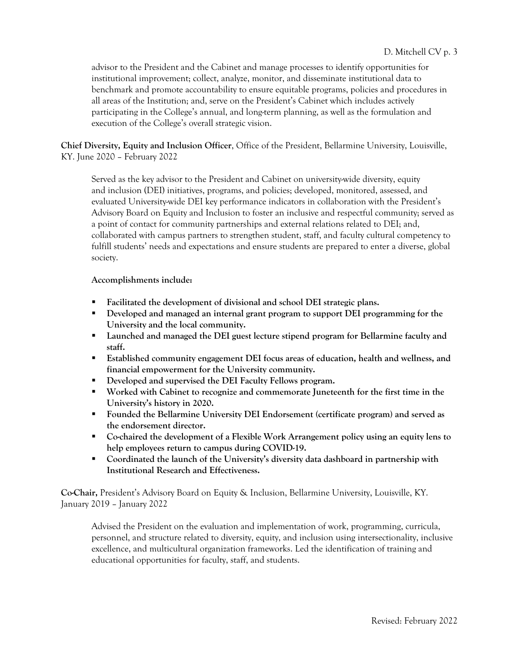advisor to the President and the Cabinet and manage processes to identify opportunities for institutional improvement; collect, analyze, monitor, and disseminate institutional data to benchmark and promote accountability to ensure equitable programs, policies and procedures in all areas of the Institution; and, serve on the President's Cabinet which includes actively participating in the College's annual, and long-term planning, as well as the formulation and execution of the College's overall strategic vision.

**Chief Diversity, Equity and Inclusion Officer**, Office of the President, Bellarmine University, Louisville, KY. June 2020 – February 2022

Served as the key advisor to the President and Cabinet on university-wide diversity, equity and inclusion (DEI) initiatives, programs, and policies; developed, monitored, assessed, and evaluated University-wide DEI key performance indicators in collaboration with the President's Advisory Board on Equity and Inclusion to foster an inclusive and respectful community; served as a point of contact for community partnerships and external relations related to DEI; and, collaborated with campus partners to strengthen student, staff, and faculty cultural competency to fulfill students' needs and expectations and ensure students are prepared to enter a diverse, global society.

**Accomplishments include:**

- § **Facilitated the development of divisional and school DEI strategic plans.**
- § **Developed and managed an internal grant program to support DEI programming for the University and the local community.**
- § **Launched and managed the DEI guest lecture stipend program for Bellarmine faculty and staff.**
- § **Established community engagement DEI focus areas of education, health and wellness, and financial empowerment for the University community.**
- § **Developed and supervised the DEI Faculty Fellows program.**
- § **Worked with Cabinet to recognize and commemorate Juneteenth for the first time in the University's history in 2020.**
- § **Founded the Bellarmine University DEI Endorsement (certificate program) and served as the endorsement director.**
- § **Co-chaired the development of a Flexible Work Arrangement policy using an equity lens to help employees return to campus during COVID-19.**
- § **Coordinated the launch of the University's diversity data dashboard in partnership with Institutional Research and Effectiveness.**

**Co-Chair,** President's Advisory Board on Equity & Inclusion, Bellarmine University, Louisville, KY. January 2019 – January 2022

Advised the President on the evaluation and implementation of work, programming, curricula, personnel, and structure related to diversity, equity, and inclusion using intersectionality, inclusive excellence, and multicultural organization frameworks. Led the identification of training and educational opportunities for faculty, staff, and students.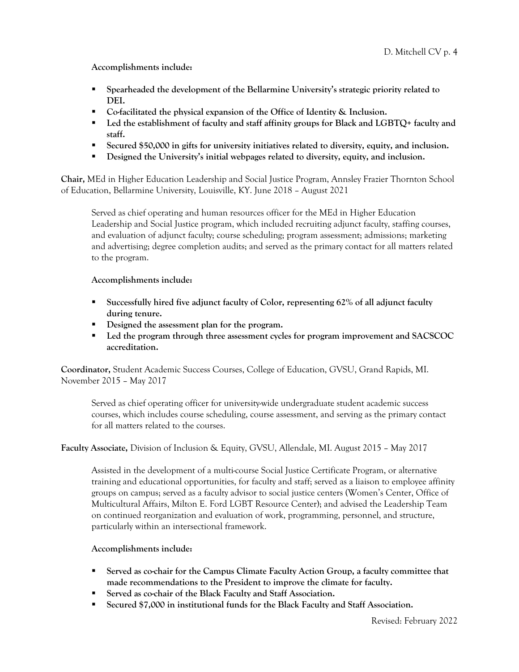**Accomplishments include:**

- § **Spearheaded the development of the Bellarmine University's strategic priority related to DEI.**
- § **Co-facilitated the physical expansion of the Office of Identity & Inclusion.**
- Led the establishment of faculty and staff affinity groups for Black and LGBTQ+ faculty and **staff.**
- § **Secured \$50,000 in gifts for university initiatives related to diversity, equity, and inclusion.**
- Designed the University's initial webpages related to diversity, equity, and inclusion.

**Chair,** MEd in Higher Education Leadership and Social Justice Program, Annsley Frazier Thornton School of Education, Bellarmine University, Louisville, KY. June 2018 – August 2021

Served as chief operating and human resources officer for the MEd in Higher Education Leadership and Social Justice program, which included recruiting adjunct faculty, staffing courses, and evaluation of adjunct faculty; course scheduling; program assessment; admissions; marketing and advertising; degree completion audits; and served as the primary contact for all matters related to the program.

**Accomplishments include:**

- § **Successfully hired five adjunct faculty of Color, representing 62% of all adjunct faculty during tenure.**
- Designed the assessment plan for the program.
- § **Led the program through three assessment cycles for program improvement and SACSCOC accreditation.**

**Coordinator,** Student Academic Success Courses, College of Education, GVSU, Grand Rapids, MI. November 2015 – May 2017

Served as chief operating officer for university-wide undergraduate student academic success courses, which includes course scheduling, course assessment, and serving as the primary contact for all matters related to the courses.

# **Faculty Associate,** Division of Inclusion & Equity, GVSU, Allendale, MI. August 2015 – May 2017

Assisted in the development of a multi-course Social Justice Certificate Program, or alternative training and educational opportunities, for faculty and staff; served as a liaison to employee affinity groups on campus; served as a faculty advisor to social justice centers (Women's Center, Office of Multicultural Affairs, Milton E. Ford LGBT Resource Center); and advised the Leadership Team on continued reorganization and evaluation of work, programming, personnel, and structure, particularly within an intersectional framework.

**Accomplishments include:**

- Served as co-chair for the Campus Climate Faculty Action Group, a faculty committee that **made recommendations to the President to improve the climate for faculty.**
- § **Served as co-chair of the Black Faculty and Staff Association.**
- Secured \$7,000 in institutional funds for the Black Faculty and Staff Association.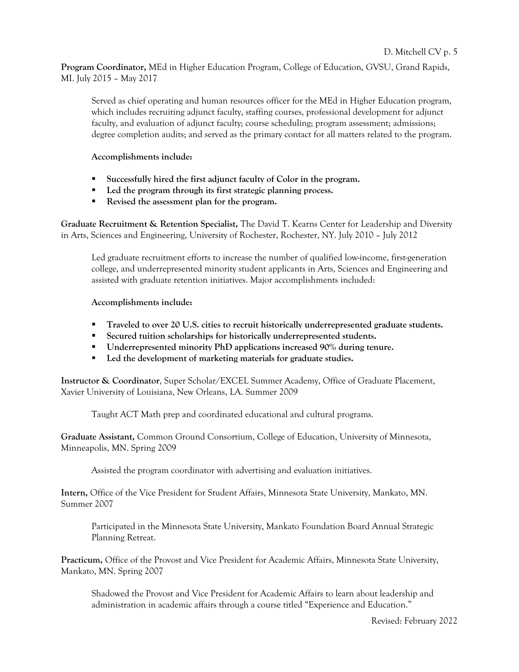**Program Coordinator,** MEd in Higher Education Program, College of Education, GVSU, Grand Rapids, MI. July 2015 – May 2017

Served as chief operating and human resources officer for the MEd in Higher Education program, which includes recruiting adjunct faculty, staffing courses, professional development for adjunct faculty, and evaluation of adjunct faculty; course scheduling; program assessment; admissions; degree completion audits; and served as the primary contact for all matters related to the program.

**Accomplishments include:**

- § **Successfully hired the first adjunct faculty of Color in the program.**
- Led the program through its first strategic planning process.
- § **Revised the assessment plan for the program.**

**Graduate Recruitment & Retention Specialist,** The David T. Kearns Center for Leadership and Diversity in Arts, Sciences and Engineering, University of Rochester, Rochester, NY. July 2010 – July 2012

Led graduate recruitment efforts to increase the number of qualified low-income, first-generation college, and underrepresented minority student applicants in Arts, Sciences and Engineering and assisted with graduate retention initiatives. Major accomplishments included:

#### **Accomplishments include:**

- **•** Traveled to over 20 U.S. cities to recruit historically underrepresented graduate students.
- § **Secured tuition scholarships for historically underrepresented students.**
- § **Underrepresented minority PhD applications increased 90% during tenure.**
- Led the development of marketing materials for graduate studies.

**Instructor & Coordinator**, Super Scholar/EXCEL Summer Academy, Office of Graduate Placement, Xavier University of Louisiana, New Orleans, LA. Summer 2009

Taught ACT Math prep and coordinated educational and cultural programs.

**Graduate Assistant,** Common Ground Consortium, College of Education, University of Minnesota, Minneapolis, MN. Spring 2009

Assisted the program coordinator with advertising and evaluation initiatives.

**Intern,** Office of the Vice President for Student Affairs, Minnesota State University, Mankato, MN. Summer 2007

Participated in the Minnesota State University, Mankato Foundation Board Annual Strategic Planning Retreat.

**Practicum,** Office of the Provost and Vice President for Academic Affairs, Minnesota State University, Mankato, MN. Spring 2007

Shadowed the Provost and Vice President for Academic Affairs to learn about leadership and administration in academic affairs through a course titled "Experience and Education."

Revised: February 2022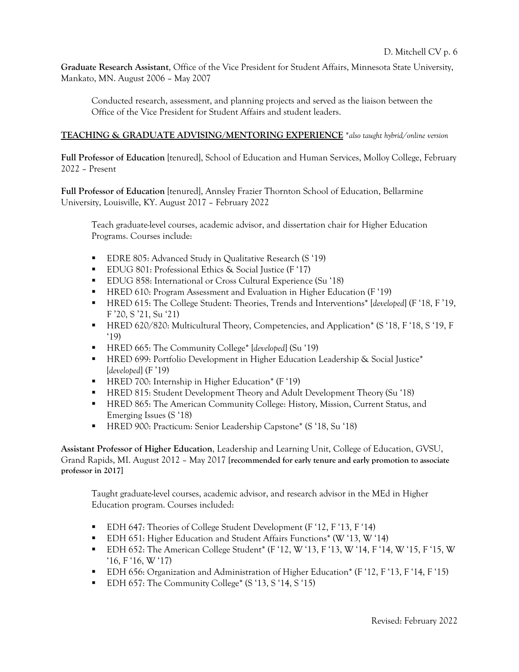**Graduate Research Assistant**, Office of the Vice President for Student Affairs, Minnesota State University, Mankato, MN. August 2006 – May 2007

Conducted research, assessment, and planning projects and served as the liaison between the Office of the Vice President for Student Affairs and student leaders.

### **TEACHING & GRADUATE ADVISING/MENTORING EXPERIENCE** \**also taught hybrid/online version*

**Full Professor of Education** [tenured], School of Education and Human Services, Molloy College, February 2022 – Present

**Full Professor of Education** [tenured], Annsley Frazier Thornton School of Education, Bellarmine University, Louisville, KY. August 2017 – February 2022

Teach graduate-level courses, academic advisor, and dissertation chair for Higher Education Programs. Courses include:

- EDRE 805: Advanced Study in Qualitative Research (S '19)
- EDUG 801: Professional Ethics & Social Justice (F '17)
- EDUG 858: International or Cross Cultural Experience (Su '18)
- HRED 610: Program Assessment and Evaluation in Higher Education (F '19)
- § HRED 615: The College Student: Theories, Trends and Interventions\* [*developed*] (F '18, F '19, F '20, S '21, Su '21)
- HRED 620/820: Multicultural Theory, Competencies, and Application\* (S '18, F '18, S '19, F '19)
- § HRED 665: The Community College\* [*developed*] (Su '19)
- **HRED 699: Portfolio Development in Higher Education Leadership & Social Justice\*** [*developed*] (F '19)
- HRED 700: Internship in Higher Education\* (F '19)
- **EXECUTE:** HRED 815: Student Development Theory and Adult Development Theory (Su '18)
- HRED 865: The American Community College: History, Mission, Current Status, and Emerging Issues (S '18)
- HRED 900: Practicum: Senior Leadership Capstone<sup>\*</sup> (S '18, Su '18)

**Assistant Professor of Higher Education**, Leadership and Learning Unit, College of Education, GVSU, Grand Rapids, MI. August 2012 – May 2017 **[recommended for early tenure and early promotion to associate professor in 2017]**

Taught graduate-level courses, academic advisor, and research advisor in the MEd in Higher Education program. Courses included:

- EDH 647: Theories of College Student Development (F '12, F '13, F '14)
- § EDH 651: Higher Education and Student Affairs Functions\* (W '13, W '14)
- $\blacksquare$  EDH 652: The American College Student<sup>\*</sup> (F '12, W '13, F '13, W '14, F '14, W '15, F '15, W '16, F '16, W '17)
- EDH 656: Organization and Administration of Higher Education\* (F '12, F '13, F '14, F '15)
- EDH 657: The Community College<sup>\*</sup> (S '13, S '14, S '15)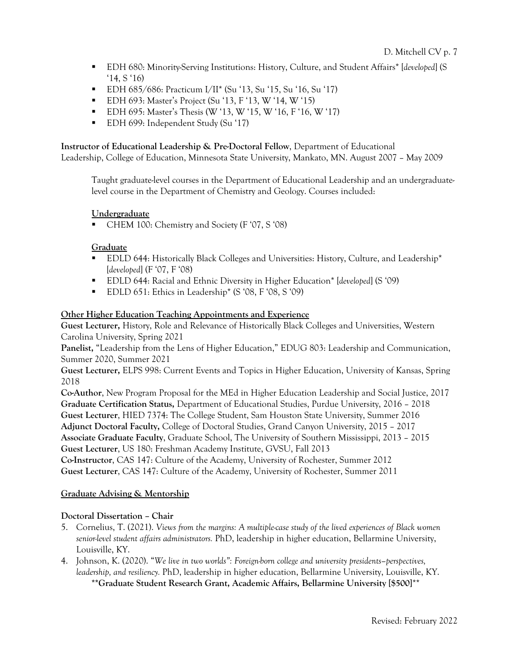- § EDH 680: Minority-Serving Institutions: History, Culture, and Student Affairs\* [*developed*] (S '14, S '16)
- EDH 685/686: Practicum I/II<sup>\*</sup> (Su '13, Su '15, Su '16, Su '17)
- EDH 693: Master's Project (Su '13, F '13, W '14, W '15)
- EDH 695: Master's Thesis (W '13, W '15, W '16, F '16, W '17)
- EDH 699: Independent Study (Su '17)

**Instructor of Educational Leadership & Pre-Doctoral Fellow**, Department of Educational

Leadership, College of Education, Minnesota State University, Mankato, MN. August 2007 – May 2009

Taught graduate-level courses in the Department of Educational Leadership and an undergraduatelevel course in the Department of Chemistry and Geology. Courses included:

# **Undergraduate**

■ CHEM 100: Chemistry and Society (F '07, S '08)

# **Graduate**

- § EDLD 644: Historically Black Colleges and Universities: History, Culture, and Leadership\* [*developed*] (F '07, F '08)
- § EDLD 644: Racial and Ethnic Diversity in Higher Education\* [*developed*] (S '09)
- EDLD 651: Ethics in Leadership<sup>\*</sup> (S '08, F '08, S '09)

# **Other Higher Education Teaching Appointments and Experience**

**Guest Lecturer,** History, Role and Relevance of Historically Black Colleges and Universities, Western Carolina University, Spring 2021

**Panelist,** "Leadership from the Lens of Higher Education," EDUG 803: Leadership and Communication, Summer 2020, Summer 2021

**Guest Lecturer,** ELPS 998: Current Events and Topics in Higher Education, University of Kansas, Spring 2018

**Co-Author**, New Program Proposal for the MEd in Higher Education Leadership and Social Justice, 2017 **Graduate Certification Status,** Department of Educational Studies, Purdue University, 2016 – 2018 **Guest Lecturer**, HIED 7374: The College Student, Sam Houston State University, Summer 2016 **Adjunct Doctoral Faculty,** College of Doctoral Studies, Grand Canyon University, 2015 – 2017 **Associate Graduate Faculty**, Graduate School, The University of Southern Mississippi, 2013 – 2015 **Guest Lecturer**, US 180: Freshman Academy Institute, GVSU, Fall 2013

**Co-Instructor**, CAS 147: Culture of the Academy, University of Rochester, Summer 2012 **Guest Lecturer**, CAS 147: Culture of the Academy, University of Rochester, Summer 2011

# **Graduate Advising & Mentorship**

# **Doctoral Dissertation – Chair**

- 5. Cornelius, T. (2021). *Views from the margins: A multiple-case study of the lived experiences of Black women senior-level student affairs administrators.* PhD, leadership in higher education, Bellarmine University, Louisville, KY.
- 4. Johnson, K. (2020). "*We live in two worlds": Foreign-born college and university presidents–perspectives, leadership, and resiliency.* PhD, leadership in higher education, Bellarmine University, Louisville, KY. **\*\*Graduate Student Research Grant, Academic Affairs, Bellarmine University [\$500]**\*\*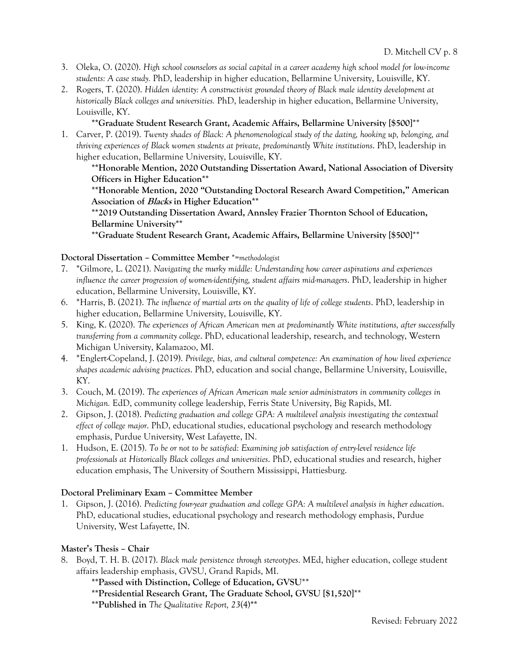- 3. Oleka, O. (2020). *High school counselors as social capital in a career academy high school model for low-income students: A case study.* PhD, leadership in higher education, Bellarmine University, Louisville, KY.
- 2. Rogers, T. (2020). *Hidden identity: A constructivist grounded theory of Black male identity development at historically Black colleges and universities.* PhD, leadership in higher education, Bellarmine University, Louisville, KY.

### **\*\*Graduate Student Research Grant, Academic Affairs, Bellarmine University [\$500]**\*\*

1. Carver, P. (2019). *Twenty shades of Black: A phenomenological study of the dating, hooking up, belonging, and thriving experiences of Black women students at private, predominantly White institutions*. PhD, leadership in higher education, Bellarmine University, Louisville, KY.

**\*\*Honorable Mention, 2020 Outstanding Dissertation Award, National Association of Diversity Officers in Higher Education\*\***

**\*\*Honorable Mention, 2020 "Outstanding Doctoral Research Award Competition," American Association of Blacks in Higher Education\*\***

**\*\*2019 Outstanding Dissertation Award, Annsley Frazier Thornton School of Education, Bellarmine University\*\***

**\*\*Graduate Student Research Grant, Academic Affairs, Bellarmine University [\$500]**\*\*

#### **Doctoral Dissertation – Committee Member** \*=*methodologist*

- 7. \*Gilmore, L. (2021). *Navigating the murky middle: Understanding how career aspirations and experiences influence the career progression of women-identifying, student affairs mid-managers*. PhD, leadership in higher education, Bellarmine University, Louisville, KY.
- 6. \*Harris, B. (2021). *The influence of martial arts on the quality of life of college students*. PhD, leadership in higher education, Bellarmine University, Louisville, KY.
- 5. King, K. (2020). *The experiences of African American men at predominantly White institutions, after successfully transferring from a community college*. PhD, educational leadership, research, and technology, Western Michigan University, Kalamazoo, MI.
- 4. \*Englert-Copeland, J. (2019). *Privilege, bias, and cultural competence: An examination of how lived experience shapes academic advising practices*. PhD, education and social change, Bellarmine University, Louisville, KY.
- 3. Couch, M. (2019). *The experiences of African American male senior administrators in community colleges in Michigan.* EdD, community college leadership, Ferris State University, Big Rapids, MI.
- 2. Gipson, J. (2018). *Predicting graduation and college GPA: A multilevel analysis investigating the contextual effect of college major*. PhD, educational studies, educational psychology and research methodology emphasis, Purdue University, West Lafayette, IN.
- 1. Hudson, E. (2015). *To be or not to be satisfied: Examining job satisfaction of entry-level residence life professionals at Historically Black colleges and universities*. PhD, educational studies and research, higher education emphasis, The University of Southern Mississippi, Hattiesburg.

#### **Doctoral Preliminary Exam – Committee Member**

1. Gipson, J. (2016). *Predicting four-year graduation and college GPA: A multilevel analysis in higher education*. PhD, educational studies, educational psychology and research methodology emphasis, Purdue University, West Lafayette, IN.

#### **Master's Thesis – Chair**

8. Boyd, T. H. B. (2017). *Black male persistence through stereotypes*. MEd, higher education, college student affairs leadership emphasis, GVSU, Grand Rapids, MI.

**\*\*Passed with Distinction, College of Education, GVSU**\*\*

**\*\*Presidential Research Grant, The Graduate School, GVSU [\$1,520]**\*\*

**\*\*Published in** *The Qualitative Report, 23*(4)**\*\***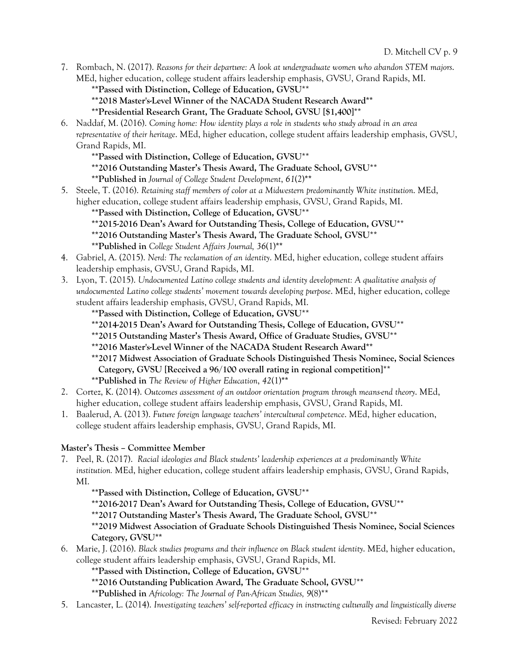7. Rombach, N. (2017). *Reasons for their departure: A look at undergraduate women who abandon STEM majors*. MEd, higher education, college student affairs leadership emphasis, GVSU, Grand Rapids, MI.

**\*\*Passed with Distinction, College of Education, GVSU**\*\*

**\*\*2018 Master's-Level Winner of the NACADA Student Research Award\*\***

**\*\*Presidential Research Grant, The Graduate School, GVSU [\$1,400]**\*\*

6. Naddaf, M. (2016). *Coming home: How identity plays a role in students who study abroad in an area representative of their heritage*. MEd, higher education, college student affairs leadership emphasis, GVSU, Grand Rapids, MI.

**\*\*Passed with Distinction, College of Education, GVSU**\*\*

**\*\*2016 Outstanding Master's Thesis Award, The Graduate School, GVSU**\*\*

- **\*\*Published in** *Journal of College Student Development*, *61*(2)**\*\***
- 5. Steele, T. (2016). *Retaining staff members of color at a Midwestern predominantly White institution*. MEd, higher education, college student affairs leadership emphasis, GVSU, Grand Rapids, MI.

**\*\*Passed with Distinction, College of Education, GVSU**\*\*

**\*\*2015-2016 Dean's Award for Outstanding Thesis, College of Education, GVSU**\*\*

**\*\*2016 Outstanding Master's Thesis Award, The Graduate School, GVSU**\*\*

**\*\*Published in** *College Student Affairs Journal, 36*(1)**\*\***

- 4. Gabriel, A. (2015). *Nerd: The reclamation of an identity*. MEd, higher education, college student affairs leadership emphasis, GVSU, Grand Rapids, MI.
- 3. Lyon, T. (2015). *Undocumented Latino college students and identity development: A qualitative analysis of undocumented Latino college students' movement towards developing purpose*. MEd, higher education, college student affairs leadership emphasis, GVSU, Grand Rapids, MI.
	- **\*\*Passed with Distinction, College of Education, GVSU**\*\*
	- **\*\*2014-2015 Dean's Award for Outstanding Thesis, College of Education, GVSU**\*\*
	- **\*\*2015 Outstanding Master's Thesis Award, Office of Graduate Studies, GVSU**\*\*
	- **\*\*2016 Master's-Level Winner of the NACADA Student Research Award\*\***
	- **\*\*2017 Midwest Association of Graduate Schools Distinguished Thesis Nominee, Social Sciences Category, GVSU [Received a 96/100 overall rating in regional competition]**\*\*

**\*\*Published in** *The Review of Higher Education*, *42*(1)**\*\***

- 2. Cortez, K. (2014). *Outcomes assessment of an outdoor orientation program through means-end theory*. MEd, higher education, college student affairs leadership emphasis, GVSU, Grand Rapids, MI.
- 1. Baalerud, A. (2013). *Future foreign language teachers' intercultural competence*. MEd, higher education, college student affairs leadership emphasis, GVSU, Grand Rapids, MI.

# **Master's Thesis – Committee Member**

7. Peel, R. (2017). *Racial ideologies and Black students' leadership experiences at a predominantly White institution.* MEd, higher education, college student affairs leadership emphasis, GVSU, Grand Rapids, MI.

**\*\*Passed with Distinction, College of Education, GVSU**\*\*

**\*\*2016-2017 Dean's Award for Outstanding Thesis, College of Education, GVSU**\*\*

**\*\*2017 Outstanding Master's Thesis Award, The Graduate School, GVSU**\*\*

**\*\*2019 Midwest Association of Graduate Schools Distinguished Thesis Nominee, Social Sciences Category, GVSU\*\***

6. Marie, J. (2016). *Black studies programs and their influence on Black student identity*. MEd, higher education, college student affairs leadership emphasis, GVSU, Grand Rapids, MI.

**\*\*Passed with Distinction, College of Education, GVSU**\*\*

**\*\*2016 Outstanding Publication Award, The Graduate School, GVSU**\*\*

**\*\*Published in** *Africology: The Journal of Pan-African Studies, 9*(8)\*\*

5. Lancaster, L. (2014). *Investigating teachers' self-reported efficacy in instructing culturally and linguistically diverse*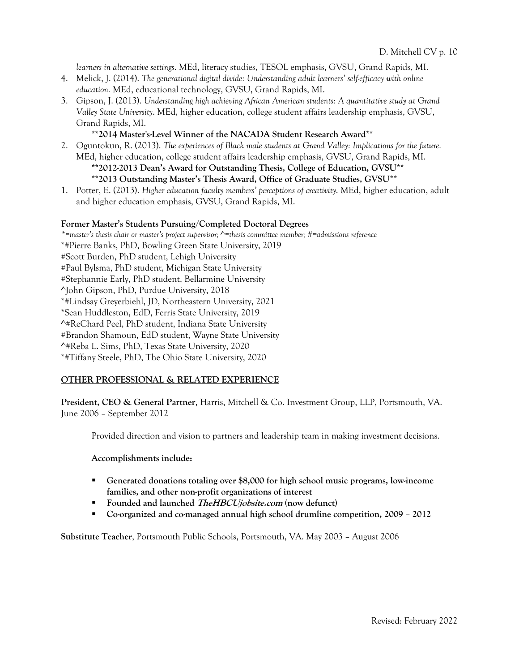*learners in alternative settings*. MEd, literacy studies, TESOL emphasis, GVSU, Grand Rapids, MI.

- 4. Melick, J. (2014). *The generational digital divide: Understanding adult learners' self-efficacy with online education.* MEd, educational technology, GVSU, Grand Rapids, MI.
- 3. Gipson, J. (2013). *Understanding high achieving African American students: A quantitative study at Grand Valley State University*. MEd, higher education, college student affairs leadership emphasis, GVSU, Grand Rapids, MI.

#### **\*\*2014 Master's-Level Winner of the NACADA Student Research Award\*\***

2. Oguntokun, R. (2013). *The experiences of Black male students at Grand Valley: Implications for the future.*  MEd, higher education, college student affairs leadership emphasis, GVSU, Grand Rapids, MI.

# **\*\*2012-2013 Dean's Award for Outstanding Thesis, College of Education, GVSU**\*\*

# **\*\*2013 Outstanding Master's Thesis Award, Office of Graduate Studies, GVSU**\*\*

1. Potter, E. (2013). *Higher education faculty members' perceptions of creativity*. MEd, higher education, adult and higher education emphasis, GVSU, Grand Rapids, MI.

#### **Former Master's Students Pursuing/Completed Doctoral Degrees**

*\*=master's thesis chair or master's project supervisor; ^=thesis committee member; #=admissions reference* \*#Pierre Banks, PhD, Bowling Green State University, 2019 #Scott Burden, PhD student, Lehigh University #Paul Bylsma, PhD student, Michigan State University #Stephannie Early, PhD student, Bellarmine University ^John Gipson, PhD, Purdue University, 2018 \*#Lindsay Greyerbiehl, JD, Northeastern University, 2021 \*Sean Huddleston, EdD, Ferris State University, 2019 ^#ReChard Peel, PhD student, Indiana State University #Brandon Shamoun, EdD student, Wayne State University ^#Reba L. Sims, PhD, Texas State University, 2020 \*#Tiffany Steele, PhD, The Ohio State University, 2020

#### **OTHER PROFESSIONAL & RELATED EXPERIENCE**

**President, CEO & General Partner**, Harris, Mitchell & Co. Investment Group, LLP, Portsmouth, VA. June 2006 – September 2012

Provided direction and vision to partners and leadership team in making investment decisions.

#### **Accomplishments include:**

- § **Generated donations totaling over \$8,000 for high school music programs, low-income families, and other non-profit organizations of interest**
- § **Founded and launched TheHBCUjobsite.com (now defunct)**
- § **Co-organized and co-managed annual high school drumline competition, 2009 – 2012**

**Substitute Teacher**, Portsmouth Public Schools, Portsmouth, VA. May 2003 – August 2006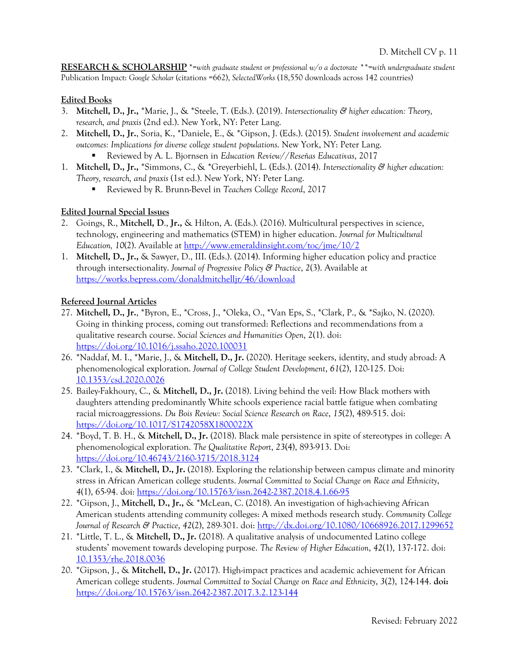**RESEARCH & SCHOLARSHIP** \*=*with graduate student or professional w/o a doctorate \*\*=with undergraduate student* Publication Impact: *Google Scholar* (citations =662), *SelectedWorks* (18,550 downloads across 142 countries)

### **Edited Books**

- 3. **Mitchell, D., Jr.,** \*Marie, J., & \*Steele, T. (Eds.). (2019). *Intersectionality & higher education: Theory, research, and praxis* (2nd ed.). New York, NY: Peter Lang.
- 2. **Mitchell, D., Jr.**, Soria, K., \*Daniele, E., & \*Gipson, J. (Eds.). (2015). *Student involvement and academic outcomes: Implications for diverse college student populations*. New York, NY: Peter Lang.
	- § Reviewed by A. L. Bjornsen in *Education Review*//*Reseñas Educativas*, 2017
- 1. **Mitchell, D., Jr.,** \*Simmons, C., & \*Greyerbiehl, L. (Eds.). (2014). *Intersectionality & higher education: Theory, research, and praxis* (1st ed.). New York, NY: Peter Lang.
	- § Reviewed by R. Brunn-Bevel in *Teachers College Record*, 2017

#### **Edited Journal Special Issues**

- 2. Goings, R., **Mitchell, D**., **Jr.,** & Hilton, A. (Eds.). (2016). Multicultural perspectives in science, technology, engineering and mathematics (STEM) in higher education. *Journal for Multicultural Education, 10*(2). Available at http://www.emeraldinsight.com/toc/jme/10/2
- 1. **Mitchell, D., Jr.,** & Sawyer, D., III. (Eds.). (2014). Informing higher education policy and practice through intersectionality. *Journal of Progressive Policy & Practice*, *2*(3). Available at https://works.bepress.com/donaldmitchelljr/46/download

# **Refereed Journal Articles**

- 27. **Mitchell, D., Jr.**, \*Byron, E., \*Cross, J., \*Oleka, O., \*Van Eps, S., \*Clark, P., & \*Sajko, N. (2020). Going in thinking process, coming out transformed: Reflections and recommendations from a qualitative research course. *Social Sciences and Humanities Open*, 2(1). doi: https://doi.org/10.1016/j.ssaho.2020.100031
- 26. \*Naddaf, M. I., \*Marie, J., & **Mitchell, D., Jr.** (2020). Heritage seekers, identity, and study abroad: A phenomenological exploration. *Journal of College Student Development*, *61*(2), 120-125. Doi: 10.1353/csd.2020.0026
- 25. Bailey-Fakhoury, C., & **Mitchell, D., Jr.** (2018). Living behind the veil: How Black mothers with daughters attending predominantly White schools experience racial battle fatigue when combating racial microaggressions. *Du Bois Review: Social Science Research on Race*, *15*(2), 489-515. doi: https://doi.org/10.1017/S1742058X1800022X
- 24. \*Boyd, T. B. H., & **Mitchell, D., Jr.** (2018). Black male persistence in spite of stereotypes in college: A phenomenological exploration. *The Qualitative Report*, *23*(4), 893-913. Doi: https://doi.org/10.46743/2160-3715/2018.3124
- 23. \*Clark, I., & **Mitchell, D., Jr.** (2018). Exploring the relationship between campus climate and minority stress in African American college students. *Journal Committed to Social Change on Race and Ethnicity*, *4*(1), 65-94. doi: https://doi.org/10.15763/issn.2642-2387.2018.4.1.66-95
- 22. \*Gipson, J., **Mitchell, D., Jr.,** & \*McLean, C. (2018). An investigation of high-achieving African American students attending community colleges: A mixed methods research study. *Community College Journal of Research & Practice*, *42*(2), 289-301. doi: http://dx.doi.org/10.1080/10668926.2017.1299652
- 21. \*Little, T. L., & **Mitchell, D., Jr. (**2018). A qualitative analysis of undocumented Latino college students' movement towards developing purpose. *The Review of Higher Education*, *42*(1), 137-172. doi: 10.1353/rhe.2018.0036
- 20. \*Gipson, J., & **Mitchell, D., Jr.** (2017). High-impact practices and academic achievement for African American college students. *Journal Committed to Social Change on Race and Ethnicity*, *3*(2), 124-144. **doi:** https://doi.org/10.15763/issn.2642-2387.2017.3.2.123-144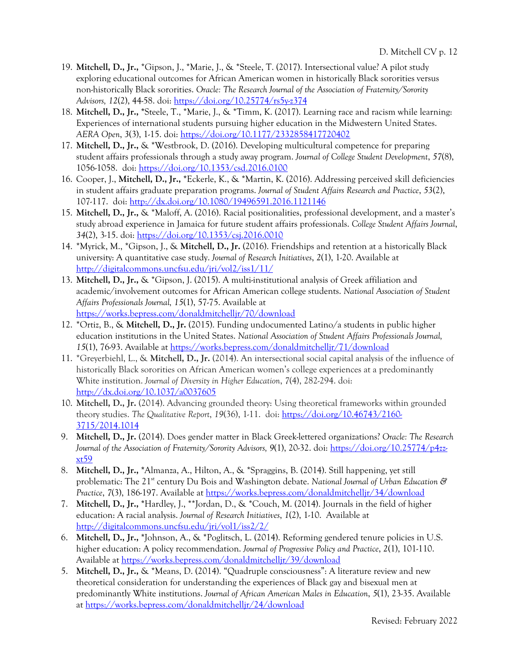- 19. **Mitchell, D., Jr.,** \*Gipson, J., \*Marie, J., & \*Steele, T. (2017). Intersectional value? A pilot study exploring educational outcomes for African American women in historically Black sororities versus non-historically Black sororities. *Oracle: The Research Journal of the Association of Fraternity/Sorority Advisors, 12*(2), 44-58. doi: https://doi.org/10.25774/rs5y-z374
- 18. **Mitchell, D., Jr., \***Steele, T., \*Marie, J., & \*Timm, K. (2017). Learning race and racism while learning: Experiences of international students pursuing higher education in the Midwestern United States. *AERA Open*, *3*(3), 1-15. doi: https://doi.org/10.1177/2332858417720402
- 17. **Mitchell, D., Jr.,** & \*Westbrook, D. (2016). Developing multicultural competence for preparing student affairs professionals through a study away program. *Journal of College Student Development*, *57*(8), 1056-1058. doi: https://doi.org/10.1353/csd.2016.0100
- 16. Cooper, J., **Mitchell, D., Jr., \***Eckerle, K., & \*Martin, K. (2016). Addressing perceived skill deficiencies in student affairs graduate preparation programs. *Journal of Student Affairs Research and Practice*, *53*(2), 107-117. doi: http://dx.doi.org/10.1080/19496591.2016.1121146
- 15. **Mitchell, D., Jr.,** & \*Maloff, A. (2016). Racial positionalities, professional development, and a master's study abroad experience in Jamaica for future student affairs professionals. *College Student Affairs Journal*, *34*(2), 3-15. doi: https://doi.org/10.1353/csj.2016.0010
- 14. \*Myrick, M., \*Gipson, J., & **Mitchell, D., Jr.** (2016). Friendships and retention at a historically Black university: A quantitative case study. *Journal of Research Initiatives*, *2*(1), 1-20. Available at http://digitalcommons.uncfsu.edu/jri/vol2/iss1/11/
- 13. **Mitchell, D., Jr.,** & \*Gipson, J. (2015). A multi-institutional analysis of Greek affiliation and academic/involvement outcomes for African American college students. *National Association of Student Affairs Professionals Journal, 15*(1), 57-75. Available at https://works.bepress.com/donaldmitchelljr/70/download
- 12. \*Ortiz, B., & **Mitchell, D., Jr.** (2015). Funding undocumented Latino/a students in public higher education institutions in the United States. *National Association of Student Affairs Professionals Journal, 15*(1), 76-93. Available at https://works.bepress.com/donaldmitchelljr/71/download
- 11. \*Greyerbiehl, L., & **Mitchell, D., Jr.** (2014). An intersectional social capital analysis of the influence of historically Black sororities on African American women's college experiences at a predominantly White institution. *Journal of Diversity in Higher Education*, *7*(4), 282-294. doi: http://dx.doi.org/10.1037/a0037605
- 10. **Mitchell, D., Jr.** (2014). Advancing grounded theory: Using theoretical frameworks within grounded theory studies. *The Qualitative Report*, *19*(36), 1-11. doi: https://doi.org/10.46743/2160- 3715/2014.1014
- 9. **Mitchell, D., Jr.** (2014). Does gender matter in Black Greek-lettered organizations? *Oracle: The Research Journal of the Association of Fraternity/Sorority Advisors, 9*(1), 20-32. doi: https://doi.org/10.25774/p4zzxt59
- 8. **Mitchell, D., Jr., \***Almanza, A., Hilton, A., & \*Spraggins, B. (2014). Still happening, yet still problematic: The 21<sup>st</sup> century Du Bois and Washington debate. *National Journal of Urban Education & Practice*, *7*(3), 186-197. Available at https://works.bepress.com/donaldmitchelljr/34/download
- 7. **Mitchell, D., Jr., \***Hardley, J., \*\*Jordan, D., & \*Couch, M. (2014). Journals in the field of higher education: A racial analysis. *Journal of Research Initiatives*, *1*(2), 1-10. Available at http://digitalcommons.uncfsu.edu/jri/vol1/iss2/2/
- 6. **Mitchell, D., Jr., \***Johnson, A., & \*Poglitsch, L. (2014). Reforming gendered tenure policies in U.S. higher education: A policy recommendation. *Journal of Progressive Policy and Practice*, *2*(1), 101-110. Available at https://works.bepress.com/donaldmitchelljr/39/download
- 5. **Mitchell, D., Jr.,** & \*Means, D. (2014). "Quadruple consciousness": A literature review and new theoretical consideration for understanding the experiences of Black gay and bisexual men at predominantly White institutions. *Journal of African American Males in Education*, *5*(1), 23-35. Available at https://works.bepress.com/donaldmitchelljr/24/download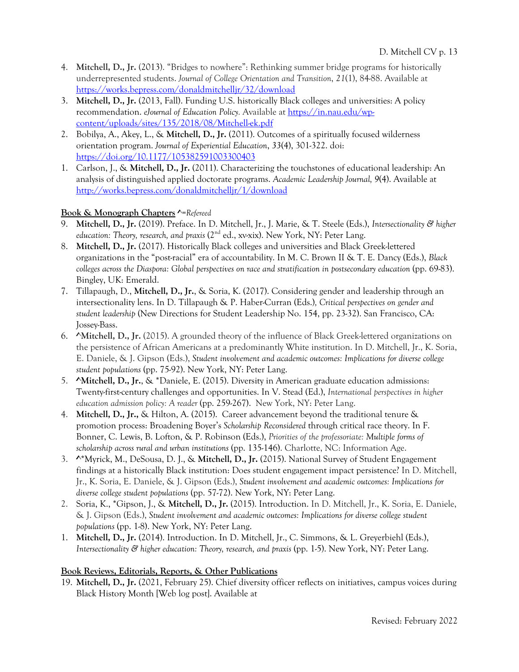- 4. **Mitchell, D., Jr.** (2013). "Bridges to nowhere": Rethinking summer bridge programs for historically underrepresented students. *Journal of College Orientation and Transition*, *21*(1), 84-88. Available at https://works.bepress.com/donaldmitchelljr/32/download
- 3. **Mitchell, D., Jr.** (2013, Fall). Funding U.S. historically Black colleges and universities: A policy recommendation. *eJournal of Education Policy.* Available at https://in.nau.edu/wpcontent/uploads/sites/135/2018/08/Mitchell-ek.pdf
- 2. Bobilya, A., Akey, L., & **Mitchell, D., Jr.** (2011). Outcomes of a spiritually focused wilderness orientation program. *Journal of Experiential Education*, *33*(4), 301-322. doi: https://doi.org/10.1177/105382591003300403
- 1. Carlson, J., & **Mitchell, D., Jr.** (2011). Characterizing the touchstones of educational leadership: An analysis of distinguished applied doctorate programs. *Academic Leadership Journal, 9*(4). Available at http://works.bepress.com/donaldmitchelljr/1/download

# **Book & Monograph Chapters ^***=Refereed*

- 9. **Mitchell, D., Jr.** (2019). Preface. In D. Mitchell, Jr., J. Marie, & T. Steele (Eds.), *Intersectionality & higher education: Theory, research, and praxis* (2nd ed., xv-xix). New York, NY: Peter Lang.
- 8. **Mitchell, D., Jr.** (2017). Historically Black colleges and universities and Black Greek-lettered organizations in the "post-racial" era of accountability. In M. C. Brown II & T. E. Dancy (Eds.), *Black colleges across the Diaspora: Global perspectives on race and stratification in postsecondary education* (pp. 69-83). Bingley, UK: Emerald.
- 7. Tillapaugh, D., **Mitchell, D., Jr.**, & Soria, K. (2017). Considering gender and leadership through an intersectionality lens. In D. Tillapaugh & P. Haber-Curran (Eds.)*, Critical perspectives on gender and student leadership* (New Directions for Student Leadership No. 154, pp. 23-32). San Francisco, CA: Jossey-Bass.
- 6. **^Mitchell, D., Jr.** (2015). A grounded theory of the influence of Black Greek-lettered organizations on the persistence of African Americans at a predominantly White institution. In D. Mitchell, Jr., K. Soria, E. Daniele, & J. Gipson (Eds.), *Student involvement and academic outcomes: Implications for diverse college student populations* (pp. 75-92). New York, NY: Peter Lang.
- 5. **^Mitchell, D., Jr.**, & \*Daniele, E. (2015). Diversity in American graduate education admissions: Twenty-first-century challenges and opportunities. In V. Stead (Ed.), *International perspectives in higher education admission policy: A reader* (pp. 259-267). New York, NY: Peter Lang.
- 4. **Mitchell, D., Jr.,** & Hilton, A. (2015). Career advancement beyond the traditional tenure & promotion process: Broadening Boyer's *Scholarship Reconsidered* through critical race theory. In F. Bonner, C. Lewis, B. Lofton, & P. Robinson (Eds.), *Priorities of the professoriate: Multiple forms of scholarship across rural and urban institutions* (pp. 135-146). Charlotte, NC: Information Age.
- 3. **^**\*Myrick, M., DeSousa, D. J., & **Mitchell, D., Jr.** (2015). National Survey of Student Engagement findings at a historically Black institution: Does student engagement impact persistence? In D. Mitchell, Jr., K. Soria, E. Daniele, & J. Gipson (Eds.), *Student involvement and academic outcomes: Implications for diverse college student populations* (pp. 57-72). New York, NY: Peter Lang.
- 2. Soria, K., \*Gipson, J., & **Mitchell, D., Jr.** (2015). Introduction. In D. Mitchell, Jr., K. Soria, E. Daniele, & J. Gipson (Eds.), *Student involvement and academic outcomes: Implications for diverse college student populations* (pp. 1-8). New York, NY: Peter Lang.
- 1. **Mitchell, D., Jr.** (2014). Introduction. In D. Mitchell, Jr., C. Simmons, & L. Greyerbiehl (Eds.), *Intersectionality & higher education: Theory, research, and praxis (pp. 1-5).* New York, NY: Peter Lang.

# **Book Reviews, Editorials, Reports, & Other Publications**

19. **Mitchell, D., Jr.** (2021, February 25). Chief diversity officer reflects on initiatives, campus voices during Black History Month [Web log post]. Available at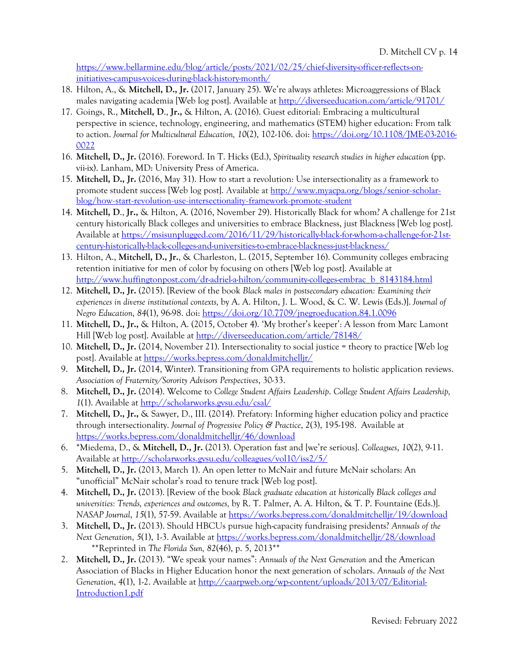https://www.bellarmine.edu/blog/article/posts/2021/02/25/chief-diversity-officer-reflects-oninitiatives-campus-voices-during-black-history-month/

- 18. Hilton, A., & **Mitchell, D., Jr.** (2017, January 25). We're always athletes: Microaggressions of Black males navigating academia [Web log post]. Available at http://diverseeducation.com/article/91701/
- 17. Goings, R., **Mitchell, D**., **Jr.,** & Hilton, A. (2016). Guest editorial: Embracing a multicultural perspective in science, technology, engineering, and mathematics (STEM) higher education: From talk to action. *Journal for Multicultural Education, 10*(2), 102-106. doi: https://doi.org/10.1108/JME-03-2016- 0022
- 16. **Mitchell, D., Jr.** (2016). Foreword. In T. Hicks (Ed.), *Spirituality research studies in higher education* (pp. vii-ix). Lanham, MD: University Press of America.
- 15. **Mitchell, D., Jr.** (2016, May 31). How to start a revolution: Use intersectionality as a framework to promote student success [Web log post]. Available at http://www.myacpa.org/blogs/senior-scholarblog/how-start-revolution-use-intersectionality-framework-promote-student
- 14. **Mitchell, D**., **Jr.,** & Hilton, A. (2016, November 29). Historically Black for whom? A challenge for 21st century historically Black colleges and universities to embrace Blackness, just Blackness [Web log post]. Available at https://msisunplugged.com/2016/11/29/historically-black-for-whom-a-challenge-for-21stcentury-historically-black-colleges-and-universities-to-embrace-blackness-just-blackness/
- 13. Hilton, A., **Mitchell, D., Jr.**, & Charleston, L. (2015, September 16). Community colleges embracing retention initiative for men of color by focusing on others [Web log post]. Available at http://www.huffingtonpost.com/dr-adriel-a-hilton/community-colleges-embrac\_b\_8143184.html
- 12. **Mitchell, D., Jr.** (2015). [Review of the book *Black males in postsecondary education: Examining their experiences in diverse institutional contexts,* by A. A. Hilton, J. L. Wood, & C. W. Lewis (Eds.)]. *Journal of Negro Education*, *84*(1), 96-98. doi: https://doi.org/10.7709/jnegroeducation.84.1.0096
- 11. **Mitchell, D., Jr.,** & Hilton, A. (2015, October 4). 'My brother's keeper': A lesson from Marc Lamont Hill [Web log post]. Available at http://diverseeducation.com/article/78148/
- 10. **Mitchell, D., Jr.** (2014, November 21). Intersectionality to social justice = theory to practice [Web log post]. Available at https://works.bepress.com/donaldmitchelljr/
- 9. **Mitchell, D., Jr.** (2014, Winter). Transitioning from GPA requirements to holistic application reviews. *Association of Fraternity/Sorority Advisors Perspectives*, 30-33.
- 8. **Mitchell, D., Jr.** (2014). Welcome to *College Student Affairs Leadership*. *College Student Affairs Leadership, 1*(1). Available at http://scholarworks.gvsu.edu/csal/
- 7. **Mitchell, D., Jr.,** & Sawyer, D., III. (2014). Prefatory: Informing higher education policy and practice through intersectionality. *Journal of Progressive Policy & Practice*, *2*(3), 195-198. Available at https://works.bepress.com/donaldmitchelljr/46/download
- 6. \*Miedema, D., & **Mitchell, D., Jr.** (2013). Operation fast and [we're serious]. *Colleagues*, *10*(2), 9-11. Available at http://scholarworks.gvsu.edu/colleagues/vol10/iss2/5/
- 5. **Mitchell, D., Jr.** (2013, March 1). An open letter to McNair and future McNair scholars: An "unofficial" McNair scholar's road to tenure track [Web log post].
- 4. **Mitchell, D., Jr.** (2013). [Review of the book *Black graduate education at historically Black colleges and universities: Trends, experiences and outcomes,* by R. T. Palmer, A. A. Hilton, & T. P. Fountaine (Eds.)]. *NASAP Journal*, *15*(1), 57-59. Available at https://works.bepress.com/donaldmitchelljr/19/download
- 3. **Mitchell, D., Jr.** (2013). Should HBCUs pursue high-capacity fundraising presidents? *Annuals of the Next Generation*, *5*(1), 1-3. Available at https://works.bepress.com/donaldmitchelljr/28/download \*\*Reprinted in *The Florida Sun, 82*(46), p. 5, 2013\*\*
- 2. **Mitchell, D., Jr.** (2013). "We speak your names": *Annuals of the Next Generation* and the American Association of Blacks in Higher Education honor the next generation of scholars. *Annuals of the Next Generation*, *4*(1), 1-2. Available at http://caarpweb.org/wp-content/uploads/2013/07/Editorial-Introduction1.pdf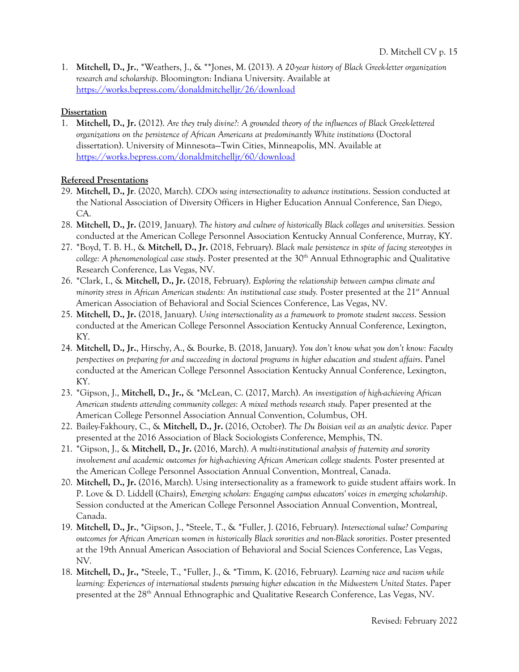1. **Mitchell, D., Jr.**, \*Weathers, J., & \*\*Jones, M. (2013). *A 20-year history of Black Greek-letter organization research and scholarship*. Bloomington: Indiana University. Available at https://works.bepress.com/donaldmitchelljr/26/download

### **Dissertation**

1. **Mitchell, D., Jr.** (2012). *Are they truly divine?: A grounded theory of the influences of Black Greek-lettered organizations on the persistence of African Americans at predominantly White institutions* (Doctoral dissertation). University of Minnesota—Twin Cities, Minneapolis, MN. Available at https://works.bepress.com/donaldmitchelljr/60/download

# **Refereed Presentations**

- 29. **Mitchell, D., Jr**. (2020, March). *CDOs using intersectionality to advance institutions*. Session conducted at the National Association of Diversity Officers in Higher Education Annual Conference, San Diego, CA.
- 28. **Mitchell, D., Jr.** (2019, January). *The history and culture of historically Black colleges and universities.* Session conducted at the American College Personnel Association Kentucky Annual Conference, Murray, KY.
- 27. \*Boyd, T. B. H., & **Mitchell, D., Jr.** (2018, February). *Black male persistence in spite of facing stereotypes in college: A phenomenological case study*. Poster presented at the 30<sup>th</sup> Annual Ethnographic and Qualitative Research Conference, Las Vegas, NV.
- 26. \*Clark, I., & **Mitchell, D., Jr.** (2018, February). *Exploring the relationship between campus climate and*  minority stress in African American students: An institutional case study. Poster presented at the 21<sup>st</sup> Annual American Association of Behavioral and Social Sciences Conference, Las Vegas, NV.
- 25. **Mitchell, D., Jr.** (2018, January). *Using intersectionality as a framework to promote student success*. Session conducted at the American College Personnel Association Kentucky Annual Conference, Lexington, KY.
- 24. **Mitchell, D., Jr.**, Hirschy, A., & Bourke, B. (2018, January). *You don't know what you don't know: Faculty perspectives on preparing for and succeeding in doctoral programs in higher education and student affairs*. Panel conducted at the American College Personnel Association Kentucky Annual Conference, Lexington, KY.
- 23. \*Gipson, J., **Mitchell, D., Jr.,** & \*McLean, C. (2017, March). *An investigation of high-achieving African American students attending community colleges: A mixed methods research study.* Paper presented at the American College Personnel Association Annual Convention, Columbus, OH.
- 22. Bailey-Fakhoury, C., & **Mitchell, D., Jr.** (2016, October). *The Du Boisian veil as an analytic device.* Paper presented at the 2016 Association of Black Sociologists Conference, Memphis, TN.
- 21. \*Gipson, J., & **Mitchell, D., Jr.** (2016, March). *A multi-institutional analysis of fraternity and sorority involvement and academic outcomes for high-achieving African American college students.* Poster presented at the American College Personnel Association Annual Convention, Montreal, Canada.
- 20. **Mitchell, D., Jr.** (2016, March). Using intersectionality as a framework to guide student affairs work. In P. Love & D. Liddell (Chairs), *Emerging scholars: Engaging campus educators' voices in emerging scholarship*. Session conducted at the American College Personnel Association Annual Convention, Montreal, Canada.
- 19. **Mitchell, D., Jr.**, **\***Gipson, J., **\***Steele, T., & \*Fuller, J. (2016, February). *Intersectional value? Comparing outcomes for African American women in historically Black sororities and non-Black sororities*. Poster presented at the 19th Annual American Association of Behavioral and Social Sciences Conference, Las Vegas, NV.
- 18. **Mitchell, D., Jr., \***Steele, T., \*Fuller, J., & \*Timm, K. (2016, February). *Learning race and racism while learning: Experiences of international students pursuing higher education in the Midwestern United States*. Paper presented at the 28th Annual Ethnographic and Qualitative Research Conference, Las Vegas, NV.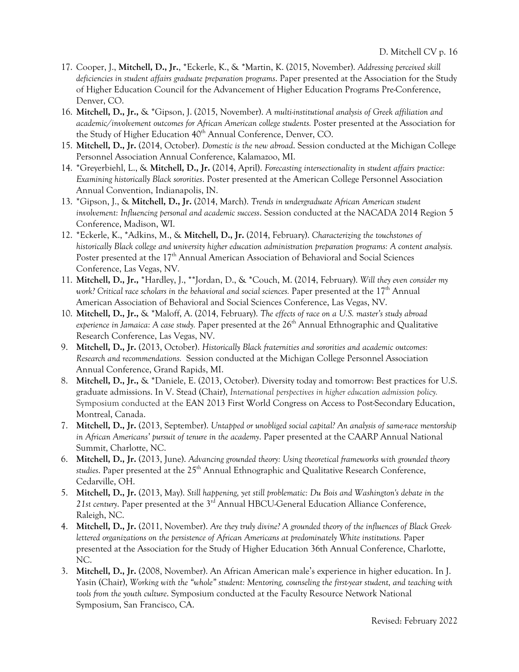- 17. Cooper, J., **Mitchell, D., Jr.**, \*Eckerle, K., & \*Martin, K. (2015, November). *Addressing perceived skill deficiencies in student affairs graduate preparation programs*. Paper presented at the Association for the Study of Higher Education Council for the Advancement of Higher Education Programs Pre-Conference, Denver, CO.
- 16. **Mitchell, D., Jr.,** & \*Gipson, J. (2015, November). *A multi-institutional analysis of Greek affiliation and academic/involvement outcomes for African American college students.* Poster presented at the Association for the Study of Higher Education 40<sup>th</sup> Annual Conference, Denver, CO.
- 15. **Mitchell, D., Jr.** (2014, October). *Domestic is the new abroad*. Session conducted at the Michigan College Personnel Association Annual Conference, Kalamazoo, MI.
- 14. \*Greyerbiehl, L., & **Mitchell, D., Jr.** (2014, April). *Forecasting intersectionality in student affairs practice: Examining historically Black sororities*. Poster presented at the American College Personnel Association Annual Convention, Indianapolis, IN.
- 13. \*Gipson, J., & **Mitchell, D., Jr.** (2014, March). *Trends in undergraduate African American student involvement: Influencing personal and academic success*. Session conducted at the NACADA 2014 Region 5 Conference, Madison, WI.
- 12. \*Eckerle, K., \*Adkins, M., & **Mitchell, D., Jr.** (2014, February). *Characterizing the touchstones of historically Black college and university higher education administration preparation programs: A content analysis.* Poster presented at the 17<sup>th</sup> Annual American Association of Behavioral and Social Sciences Conference, Las Vegas, NV.
- 11. **Mitchell, D., Jr.,** \*Hardley, J., \*\*Jordan, D., & \*Couch, M. (2014, February). *Will they even consider my*  work? Critical race scholars in the behavioral and social sciences. Paper presented at the 17<sup>th</sup> Annual American Association of Behavioral and Social Sciences Conference, Las Vegas, NV.
- 10. **Mitchell, D., Jr.,** & \*Maloff, A. (2014, February). *The effects of race on a U.S. master's study abroad experience in Jamaica: A case study.* Paper presented at the 26th Annual Ethnographic and Qualitative Research Conference, Las Vegas, NV.
- 9. **Mitchell, D., Jr.** (2013, October). *Historically Black fraternities and sororities and academic outcomes: Research and recommendations.* Session conducted at the Michigan College Personnel Association Annual Conference, Grand Rapids, MI.
- 8. **Mitchell, D., Jr.,** & \*Daniele, E. (2013, October). Diversity today and tomorrow: Best practices for U.S. graduate admissions. In V. Stead (Chair), *International perspectives in higher education admission policy.*  Symposium conducted at the EAN 2013 First World Congress on Access to Post-Secondary Education, Montreal, Canada.
- 7. **Mitchell, D., Jr.** (2013, September). *Untapped or unobliged social capital? An analysis of same-race mentorship in African Americans' pursuit of tenure in the academy*. Paper presented at the CAARP Annual National Summit, Charlotte, NC.
- 6. **Mitchell, D., Jr.** (2013, June). *Advancing grounded theory: Using theoretical frameworks with grounded theory*  studies. Paper presented at the 25<sup>th</sup> Annual Ethnographic and Qualitative Research Conference, Cedarville, OH.
- 5. **Mitchell, D., Jr.** (2013, May). *Still happening, yet still problematic: Du Bois and Washington's debate in the*  21st century. Paper presented at the 3<sup>rd</sup> Annual HBCU-General Education Alliance Conference, Raleigh, NC.
- 4. **Mitchell, D., Jr.** (2011, November). *Are they truly divine? A grounded theory of the influences of Black Greeklettered organizations on the persistence of African Americans at predominately White institutions.* Paper presented at the Association for the Study of Higher Education 36th Annual Conference, Charlotte, NC.
- 3. **Mitchell, D., Jr.** (2008, November). An African American male's experience in higher education. In J. Yasin (Chair), *Working with the "whole" student: Mentoring, counseling the first-year student, and teaching with tools from the youth culture*. Symposium conducted at the Faculty Resource Network National Symposium, San Francisco, CA.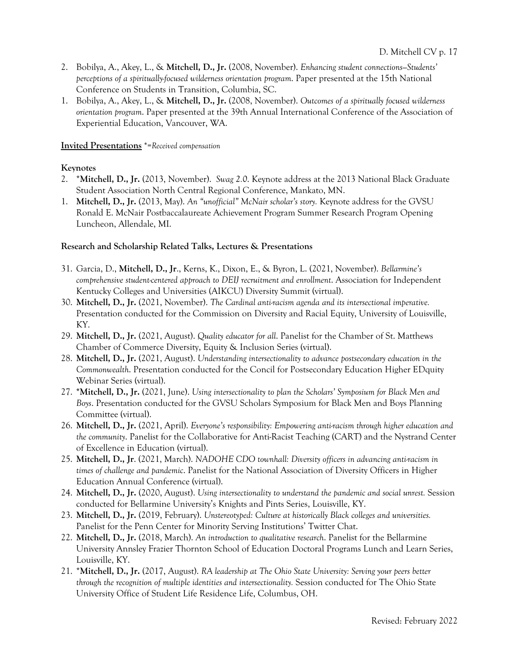- 2. Bobilya, A., Akey, L., & **Mitchell, D., Jr.** (2008, November). *Enhancing student connections—Students' perceptions of a spiritually-focused wilderness orientation program*. Paper presented at the 15th National Conference on Students in Transition, Columbia, SC.
- 1. Bobilya, A., Akey, L., & **Mitchell, D., Jr.** (2008, November). *Outcomes of a spiritually focused wilderness orientation program*. Paper presented at the 39th Annual International Conference of the Association of Experiential Education, Vancouver, WA.

#### **Invited Presentations** \*=*Received compensation*

#### **Keynotes**

- 2. \***Mitchell, D., Jr.** (2013, November). *Swag 2.0*. Keynote address at the 2013 National Black Graduate Student Association North Central Regional Conference, Mankato, MN.
- 1. **Mitchell, D., Jr.** (2013, May). *An "unofficial" McNair scholar's story.* Keynote address for the GVSU Ronald E. McNair Postbaccalaureate Achievement Program Summer Research Program Opening Luncheon, Allendale, MI.

#### **Research and Scholarship Related Talks, Lectures & Presentations**

- 31. Garcia, D., **Mitchell, D., Jr**., Kerns, K., Dixon, E., & Byron, L. (2021, November). *Bellarmine's comprehensive student-centered approach to DEIJ recruitment and enrollment*. Association for Independent Kentucky Colleges and Universities (AIKCU) Diversity Summit (virtual).
- 30. **Mitchell, D., Jr.** (2021, November). *The Cardinal anti-racism agenda and its intersectional imperative.* Presentation conducted for the Commission on Diversity and Racial Equity, University of Louisville, KY.
- 29. **Mitchell, D., Jr.** (2021, August). *Quality educator for all*. Panelist for the Chamber of St. Matthews Chamber of Commerce Diversity, Equity & Inclusion Series (virtual).
- 28. **Mitchell, D., Jr.** (2021, August). *Understanding intersectionality to advance postsecondary education in the Commonwealth*. Presentation conducted for the Concil for Postsecondary Education Higher EDquity Webinar Series (virtual).
- 27. **\*Mitchell, D., Jr.** (2021, June). *Using intersectionality to plan the Scholars' Symposium for Black Men and Boys*. Presentation conducted for the GVSU Scholars Symposium for Black Men and Boys Planning Committee (virtual).
- 26. **Mitchell, D., Jr.** (2021, April). *Everyone's responsibility: Empowering anti-racism through higher education and the community*. Panelist for the Collaborative for Anti-Racist Teaching (CART) and the Nystrand Center of Excellence in Education (virtual).
- 25. **Mitchell, D., Jr**. (2021, March). *NADOHE CDO townhall: Diversity officers in advancing anti-racism in times of challenge and pandemic*. Panelist for the National Association of Diversity Officers in Higher Education Annual Conference (virtual).
- 24. **Mitchell, D., Jr.** (2020, August). *Using intersectionality to understand the pandemic and social unrest.* Session conducted for Bellarmine University's Knights and Pints Series, Louisville, KY.
- 23. **Mitchell, D., Jr.** (2019, February). *Unstereotyped: Culture at historically Black colleges and universities.*  Panelist for the Penn Center for Minority Serving Institutions' Twitter Chat.
- 22. **Mitchell, D., Jr.** (2018, March). *An introduction to qualitative research*. Panelist for the Bellarmine University Annsley Frazier Thornton School of Education Doctoral Programs Lunch and Learn Series, Louisville, KY.
- 21. \***Mitchell, D., Jr.** (2017, August). *RA leadership at The Ohio State University: Serving your peers better through the recognition of multiple identities and intersectionality.* Session conducted for The Ohio State University Office of Student Life Residence Life, Columbus, OH.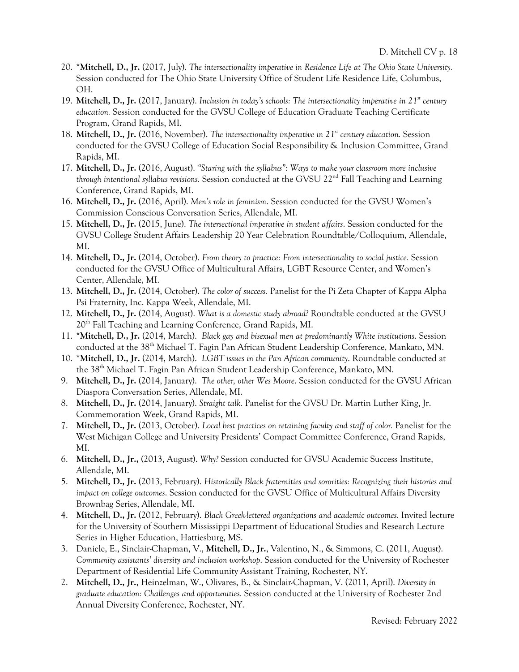- 20. \***Mitchell, D., Jr.** (2017, July). *The intersectionality imperative in Residence Life at The Ohio State University.* Session conducted for The Ohio State University Office of Student Life Residence Life, Columbus, OH.
- 19. **Mitchell, D., Jr.** (2017, January). *Inclusion in today's schools: The intersectionality imperative in 21st century education.* Session conducted for the GVSU College of Education Graduate Teaching Certificate Program, Grand Rapids, MI.
- 18. **Mitchell, D., Jr.** (2016, November). *The intersectionality imperative in 21<sup>st</sup> century education*. Session conducted for the GVSU College of Education Social Responsibility & Inclusion Committee, Grand Rapids, MI.
- 17. **Mitchell, D., Jr.** (2016, August). *"Staring with the syllabus": Ways to make your classroom more inclusive through intentional syllabus revisions.* Session conducted at the GVSU 22nd Fall Teaching and Learning Conference, Grand Rapids, MI.
- 16. **Mitchell, D., Jr.** (2016, April). *Men's role in feminism*. Session conducted for the GVSU Women's Commission Conscious Conversation Series, Allendale, MI.
- 15. **Mitchell, D., Jr.** (2015, June). *The intersectional imperative in student affairs*. Session conducted for the GVSU College Student Affairs Leadership 20 Year Celebration Roundtable/Colloquium, Allendale, MI.
- 14. **Mitchell, D., Jr.** (2014, October). *From theory to practice: From intersectionality to social justice.* Session conducted for the GVSU Office of Multicultural Affairs, LGBT Resource Center, and Women's Center, Allendale, MI.
- 13. **Mitchell, D., Jr.** (2014, October). *The color of success.* Panelist for the Pi Zeta Chapter of Kappa Alpha Psi Fraternity, Inc. Kappa Week, Allendale, MI.
- 12. **Mitchell, D., Jr.** (2014, August). *What is a domestic study abroad?* Roundtable conducted at the GVSU 20<sup>th</sup> Fall Teaching and Learning Conference, Grand Rapids, MI.
- 11. \***Mitchell, D., Jr.** (2014, March). *Black gay and bisexual men at predominantly White institutions*. Session conducted at the 38<sup>th</sup> Michael T. Fagin Pan African Student Leadership Conference, Mankato, MN.
- 10. \***Mitchell, D., Jr.** (2014, March). *LGBT issues in the Pan African community*. Roundtable conducted at the 38<sup>th</sup> Michael T. Fagin Pan African Student Leadership Conference, Mankato, MN.
- 9. **Mitchell, D., Jr.** (2014, January). *The other, other Wes Moore*. Session conducted for the GVSU African Diaspora Conversation Series, Allendale, MI.
- 8. **Mitchell, D., Jr.** (2014, January). *Straight talk.* Panelist for the GVSU Dr. Martin Luther King, Jr. Commemoration Week, Grand Rapids, MI.
- 7. **Mitchell, D., Jr.** (2013, October). *Local best practices on retaining faculty and staff of color.* Panelist for the West Michigan College and University Presidents' Compact Committee Conference, Grand Rapids, MI.
- 6. **Mitchell, D., Jr.,** (2013, August). *Why?* Session conducted for GVSU Academic Success Institute, Allendale, MI.
- 5. **Mitchell, D., Jr.** (2013, February). *Historically Black fraternities and sororities: Recognizing their histories and impact on college outcomes*. Session conducted for the GVSU Office of Multicultural Affairs Diversity Brownbag Series, Allendale, MI.
- 4. **Mitchell, D., Jr.** (2012, February). *Black Greek-lettered organizations and academic outcomes.* Invited lecture for the University of Southern Mississippi Department of Educational Studies and Research Lecture Series in Higher Education, Hattiesburg, MS.
- 3. Daniele, E., Sinclair-Chapman, V., **Mitchell, D., Jr.**, Valentino, N., & Simmons, C. (2011, August). *Community assistants' diversity and inclusion workshop*. Session conducted for the University of Rochester Department of Residential Life Community Assistant Training, Rochester, NY.
- 2. **Mitchell, D., Jr.**, Heinzelman, W., Olivares, B., & Sinclair-Chapman, V. (2011, April). *Diversity in graduate education: Challenges and opportunities.* Session conducted at the University of Rochester 2nd Annual Diversity Conference, Rochester, NY.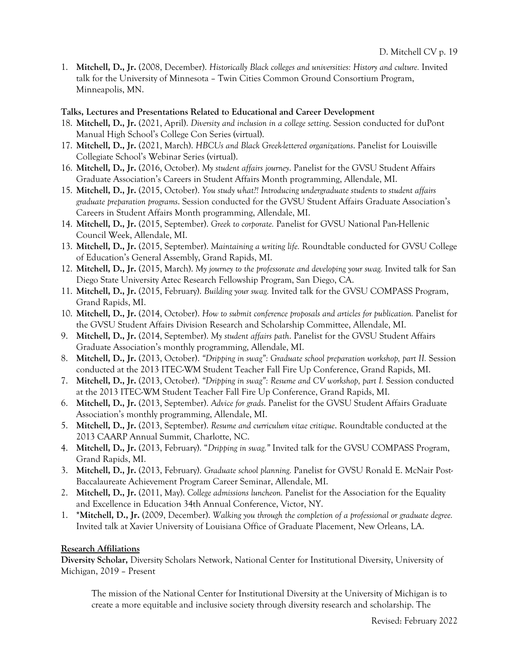1. **Mitchell, D., Jr.** (2008, December). *Historically Black colleges and universities: History and culture.* Invited talk for the University of Minnesota – Twin Cities Common Ground Consortium Program, Minneapolis, MN.

### **Talks, Lectures and Presentations Related to Educational and Career Development**

- 18. **Mitchell, D., Jr.** (2021, April). *Diversity and inclusion in a college setting*. Session conducted for duPont Manual High School's College Con Series (virtual).
- 17. **Mitchell, D., Jr.** (2021, March). *HBCUs and Black Greek-lettered organizations*. Panelist for Louisville Collegiate School's Webinar Series (virtual).
- 16. **Mitchell, D., Jr.** (2016, October). *My student affairs journey*. Panelist for the GVSU Student Affairs Graduate Association's Careers in Student Affairs Month programming, Allendale, MI.
- 15. **Mitchell, D., Jr.** (2015, October). *You study what?! Introducing undergraduate students to student affairs graduate preparation programs*. Session conducted for the GVSU Student Affairs Graduate Association's Careers in Student Affairs Month programming, Allendale, MI.
- 14. **Mitchell, D., Jr.** (2015, September). *Greek to corporate.* Panelist for GVSU National Pan-Hellenic Council Week, Allendale, MI.
- 13. **Mitchell, D., Jr.** (2015, September). *Maintaining a writing life.* Roundtable conducted for GVSU College of Education's General Assembly, Grand Rapids, MI.
- 12. **Mitchell, D., Jr.** (2015, March). *My journey to the professorate and developing your swag.* Invited talk for San Diego State University Aztec Research Fellowship Program, San Diego, CA.
- 11. **Mitchell, D., Jr.** (2015, February). *Building your swag.* Invited talk for the GVSU COMPASS Program, Grand Rapids, MI.
- 10. **Mitchell, D., Jr.** (2014, October). *How to submit conference proposals and articles for publication.* Panelist for the GVSU Student Affairs Division Research and Scholarship Committee, Allendale, MI.
- 9. **Mitchell, D., Jr.** (2014, September). *My student affairs path*. Panelist for the GVSU Student Affairs Graduate Association's monthly programming, Allendale, MI.
- 8. **Mitchell, D., Jr.** (2013, October). *"Dripping in swag": Graduate school preparation workshop, part II.* Session conducted at the 2013 ITEC-WM Student Teacher Fall Fire Up Conference, Grand Rapids, MI.
- 7. **Mitchell, D., Jr.** (2013, October). *"Dripping in swag": Resume and CV workshop, part I.* Session conducted at the 2013 ITEC-WM Student Teacher Fall Fire Up Conference, Grand Rapids, MI.
- 6. **Mitchell, D., Jr.** (2013, September). *Advice for grads*. Panelist for the GVSU Student Affairs Graduate Association's monthly programming, Allendale, MI.
- 5. **Mitchell, D., Jr.** (2013, September). *Resume and curriculum vitae critique*. Roundtable conducted at the 2013 CAARP Annual Summit, Charlotte, NC.
- 4. **Mitchell, D., Jr.** (2013, February). "*Dripping in swag."* Invited talk for the GVSU COMPASS Program, Grand Rapids, MI.
- 3. **Mitchell, D., Jr.** (2013, February). *Graduate school planning.* Panelist for GVSU Ronald E. McNair Post-Baccalaureate Achievement Program Career Seminar, Allendale, MI.
- 2. **Mitchell, D., Jr.** (2011, May). *College admissions luncheon.* Panelist for the Association for the Equality and Excellence in Education 34th Annual Conference, Victor, NY.
- 1. **\*Mitchell, D., Jr.** (2009, December). *Walking you through the completion of a professional or graduate degree.*  Invited talk at Xavier University of Louisiana Office of Graduate Placement, New Orleans, LA.

# **Research Affiliations**

**Diversity Scholar,** Diversity Scholars Network, National Center for Institutional Diversity, University of Michigan, 2019 – Present

The mission of the National Center for Institutional Diversity at the University of Michigan is to create a more equitable and inclusive society through diversity research and scholarship. The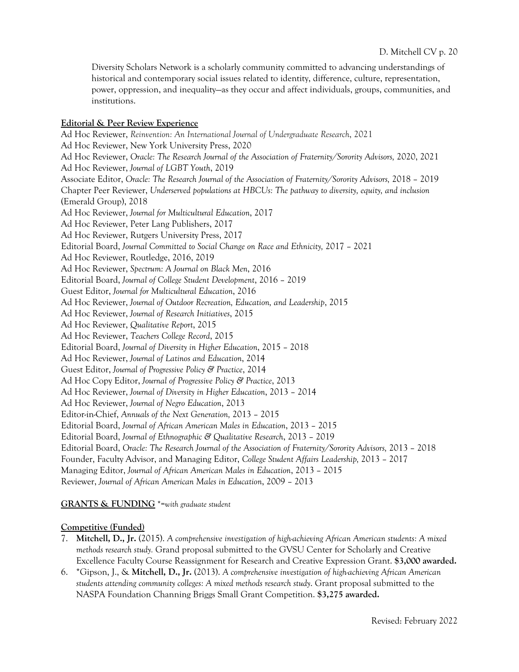Diversity Scholars Network is a scholarly community committed to advancing understandings of historical and contemporary social issues related to identity, difference, culture, representation, power, oppression, and inequality—as they occur and affect individuals, groups, communities, and institutions.

#### **Editorial & Peer Review Experience**

Ad Hoc Reviewer, *Reinvention: An International Journal of Undergraduate Research*, 2021 Ad Hoc Reviewer, New York University Press, 2020 Ad Hoc Reviewer, *Oracle: The Research Journal of the Association of Fraternity/Sorority Advisors,* 2020, 2021 Ad Hoc Reviewer, *Journal of LGBT Youth*, 2019 Associate Editor, *Oracle: The Research Journal of the Association of Fraternity/Sorority Advisors,* 2018 – 2019 Chapter Peer Reviewer, *Underserved populations at HBCUs: The pathway to diversity, equity, and inclusion* (Emerald Group), 2018 Ad Hoc Reviewer, *Journal for Multicultural Education*, 2017 Ad Hoc Reviewer, Peter Lang Publishers, 2017 Ad Hoc Reviewer, Rutgers University Press, 2017 Editorial Board, *Journal Committed to Social Change on Race and Ethnicity,* 2017 – 2021 Ad Hoc Reviewer, Routledge, 2016, 2019 Ad Hoc Reviewer, *Spectrum: A Journal on Black Men*, 2016 Editorial Board, *Journal of College Student Development*, 2016 – 2019 Guest Editor, *Journal for Multicultural Education*, 2016 Ad Hoc Reviewer, *Journal of Outdoor Recreation, Education, and Leadership*, 2015 Ad Hoc Reviewer, *Journal of Research Initiatives*, 2015 Ad Hoc Reviewer, *Qualitative Report*, 2015 Ad Hoc Reviewer, *Teachers College Record*, 2015 Editorial Board, *Journal of Diversity in Higher Education*, 2015 – 2018 Ad Hoc Reviewer, *Journal of Latinos and Education*, 2014 Guest Editor, *Journal of Progressive Policy & Practice*, 2014 Ad Hoc Copy Editor, *Journal of Progressive Policy & Practice*, 2013 Ad Hoc Reviewer, *Journal of Diversity in Higher Education*, 2013 – 2014 Ad Hoc Reviewer, *Journal of Negro Education*, 2013 Editor-in-Chief, *Annuals of the Next Generation,* 2013 – 2015 Editorial Board, *Journal of African American Males in Education*, 2013 – 2015 Editorial Board, *Journal of Ethnographic & Qualitative Research*, 2013 – 2019 Editorial Board, *Oracle: The Research Journal of the Association of Fraternity/Sorority Advisors,* 2013 – 2018 Founder, Faculty Advisor, and Managing Editor, *College Student Affairs Leadership,* 2013 – 2017 Managing Editor, *Journal of African American Males in Education*, 2013 – 2015 Reviewer, *Journal of African American Males in Education*, 2009 – 2013

#### **GRANTS & FUNDING** \*=*with graduate student*

#### **Competitive (Funded)**

- 7. **Mitchell, D., Jr.** (2015). *A comprehensive investigation of high-achieving African American students: A mixed methods research study.* Grand proposal submitted to the GVSU Center for Scholarly and Creative Excellence Faculty Course Reassignment for Research and Creative Expression Grant. **\$3,000 awarded.**
- 6. \*Gipson, J., & **Mitchell, D., Jr.** (2013). *A comprehensive investigation of high-achieving African American students attending community colleges: A mixed methods research study*. Grant proposal submitted to the NASPA Foundation Channing Briggs Small Grant Competition. **\$3,275 awarded.**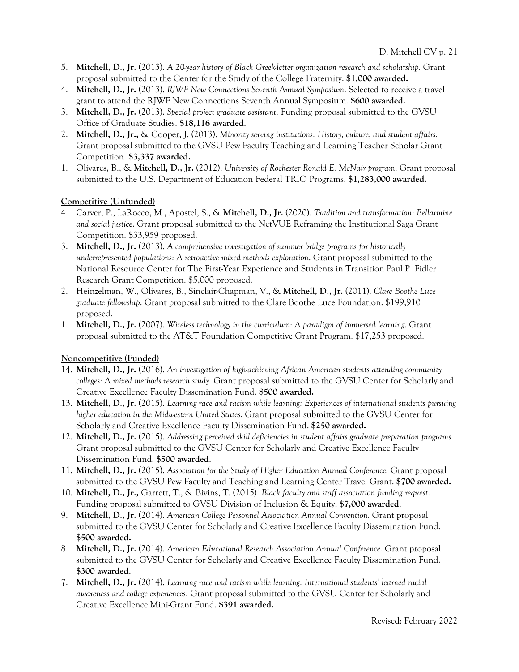- 5. **Mitchell, D., Jr.** (2013). *A 20-year history of Black Greek-letter organization research and scholarship.* Grant proposal submitted to the Center for the Study of the College Fraternity. **\$1,000 awarded.**
- 4. **Mitchell, D., Jr.** (2013). *RJWF New Connections Seventh Annual Symposium*. Selected to receive a travel grant to attend the RJWF New Connections Seventh Annual Symposium. **\$600 awarded.**
- 3. **Mitchell, D., Jr.** (2013). *Special project graduate assistant*. Funding proposal submitted to the GVSU Office of Graduate Studies. **\$18,116 awarded.**
- 2. **Mitchell, D., Jr.,** & Cooper, J. (2013). *Minority serving institutions: History, culture, and student affairs.*  Grant proposal submitted to the GVSU Pew Faculty Teaching and Learning Teacher Scholar Grant Competition. **\$3,337 awarded.**
- 1. Olivares, B., & **Mitchell, D., Jr.** (2012). *University of Rochester Ronald E. McNair program*. Grant proposal submitted to the U.S. Department of Education Federal TRIO Programs. **\$1,283,000 awarded.**

# **Competitive (Unfunded)**

- 4. Carver, P., LaRocco, M., Apostel, S., & **Mitchell, D., Jr.** (2020). *Tradition and transformation: Bellarmine and social justice*. Grant proposal submitted to the NetVUE Reframing the Institutional Saga Grant Competition. \$33,959 proposed.
- 3. **Mitchell, D., Jr.** (2013). *A comprehensive investigation of summer bridge programs for historically underrepresented populations: A retroactive mixed methods exploration*. Grant proposal submitted to the National Resource Center for The First-Year Experience and Students in Transition Paul P. Fidler Research Grant Competition. \$5,000 proposed.
- 2. Heinzelman, W., Olivares, B., Sinclair-Chapman, V., & **Mitchell, D., Jr.** (2011). *Clare Boothe Luce graduate fellowship*. Grant proposal submitted to the Clare Boothe Luce Foundation. \$199,910 proposed.
- 1. **Mitchell, D., Jr.** (2007). *Wireless technology in the curriculum: A paradigm of immersed learning*. Grant proposal submitted to the AT&T Foundation Competitive Grant Program. \$17,253 proposed.

# **Noncompetitive (Funded)**

- 14. **Mitchell, D., Jr.** (2016). *An investigation of high-achieving African American students attending community colleges: A mixed methods research study.* Grant proposal submitted to the GVSU Center for Scholarly and Creative Excellence Faculty Dissemination Fund. **\$500 awarded.**
- 13. **Mitchell, D., Jr.** (2015). *Learning race and racism while learning: Experiences of international students pursuing higher education in the Midwestern United States.* Grant proposal submitted to the GVSU Center for Scholarly and Creative Excellence Faculty Dissemination Fund. **\$250 awarded.**
- 12. **Mitchell, D., Jr.** (2015). *Addressing perceived skill deficiencies in student affairs graduate preparation programs.* Grant proposal submitted to the GVSU Center for Scholarly and Creative Excellence Faculty Dissemination Fund. **\$500 awarded.**
- 11. **Mitchell, D., Jr.** (2015). *Association for the Study of Higher Education Annual Conference.* Grant proposal submitted to the GVSU Pew Faculty and Teaching and Learning Center Travel Grant. **\$700 awarded.**
- 10. **Mitchell, D., Jr.,** Garrett, T., & Bivins, T. (2015). *Black faculty and staff association funding request*. Funding proposal submitted to GVSU Division of Inclusion & Equity. **\$7,000 awarded**.
- 9. **Mitchell, D., Jr.** (2014). *American College Personnel Association Annual Convention.* Grant proposal submitted to the GVSU Center for Scholarly and Creative Excellence Faculty Dissemination Fund. **\$500 awarded.**
- 8. **Mitchell, D., Jr.** (2014). *American Educational Research Association Annual Conference.* Grant proposal submitted to the GVSU Center for Scholarly and Creative Excellence Faculty Dissemination Fund. **\$300 awarded.**
- 7. **Mitchell, D., Jr.** (2014). *Learning race and racism while learning: International students' learned racial awareness and college experiences*. Grant proposal submitted to the GVSU Center for Scholarly and Creative Excellence Mini-Grant Fund. **\$391 awarded.**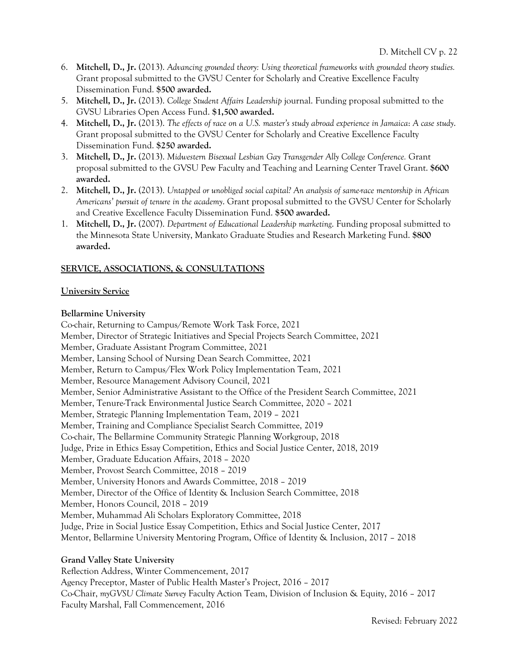- 6. **Mitchell, D., Jr.** (2013). *Advancing grounded theory: Using theoretical frameworks with grounded theory studies.*  Grant proposal submitted to the GVSU Center for Scholarly and Creative Excellence Faculty Dissemination Fund. **\$500 awarded.**
- 5. **Mitchell, D., Jr.** (2013). *College Student Affairs Leadership* journal. Funding proposal submitted to the GVSU Libraries Open Access Fund. **\$1,500 awarded.**
- 4. **Mitchell, D., Jr.** (2013). *The effects of race on a U.S. master's study abroad experience in Jamaica*: *A case study*. Grant proposal submitted to the GVSU Center for Scholarly and Creative Excellence Faculty Dissemination Fund. **\$250 awarded.**
- 3. **Mitchell, D., Jr.** (2013). *Midwestern Bisexual Lesbian Gay Transgender Ally College Conference.* Grant proposal submitted to the GVSU Pew Faculty and Teaching and Learning Center Travel Grant. **\$600 awarded.**
- 2. **Mitchell, D., Jr.** (2013). *Untapped or unobliged social capital? An analysis of same-race mentorship in African Americans' pursuit of tenure in the academy*. Grant proposal submitted to the GVSU Center for Scholarly and Creative Excellence Faculty Dissemination Fund. **\$500 awarded.**
- 1. **Mitchell, D., Jr.** (2007). *Department of Educational Leadership marketing*. Funding proposal submitted to the Minnesota State University, Mankato Graduate Studies and Research Marketing Fund. **\$800 awarded.**

# **SERVICE, ASSOCIATIONS, & CONSULTATIONS**

# **University Service**

#### **Bellarmine University**

Co-chair, Returning to Campus/Remote Work Task Force, 2021 Member, Director of Strategic Initiatives and Special Projects Search Committee, 2021 Member, Graduate Assistant Program Committee, 2021 Member, Lansing School of Nursing Dean Search Committee, 2021 Member, Return to Campus/Flex Work Policy Implementation Team, 2021 Member, Resource Management Advisory Council, 2021 Member, Senior Administrative Assistant to the Office of the President Search Committee, 2021 Member, Tenure-Track Environmental Justice Search Committee, 2020 – 2021 Member, Strategic Planning Implementation Team, 2019 – 2021 Member, Training and Compliance Specialist Search Committee, 2019 Co-chair, The Bellarmine Community Strategic Planning Workgroup, 2018 Judge, Prize in Ethics Essay Competition, Ethics and Social Justice Center, 2018, 2019 Member, Graduate Education Affairs, 2018 – 2020 Member, Provost Search Committee, 2018 – 2019 Member, University Honors and Awards Committee, 2018 – 2019 Member, Director of the Office of Identity & Inclusion Search Committee, 2018 Member, Honors Council, 2018 – 2019 Member, Muhammad Ali Scholars Exploratory Committee, 2018 Judge, Prize in Social Justice Essay Competition, Ethics and Social Justice Center, 2017 Mentor, Bellarmine University Mentoring Program, Office of Identity & Inclusion, 2017 – 2018

# **Grand Valley State University**

Reflection Address, Winter Commencement, 2017 Agency Preceptor, Master of Public Health Master's Project, 2016 – 2017 Co-Chair, *myGVSU Climate Survey* Faculty Action Team, Division of Inclusion & Equity, 2016 – 2017 Faculty Marshal, Fall Commencement, 2016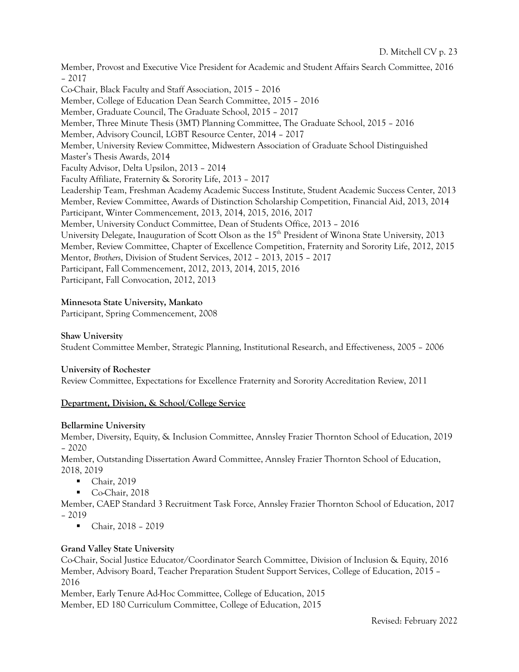Member, Provost and Executive Vice President for Academic and Student Affairs Search Committee, 2016 – 2017 Co-Chair, Black Faculty and Staff Association, 2015 – 2016 Member, College of Education Dean Search Committee, 2015 – 2016 Member, Graduate Council, The Graduate School, 2015 – 2017 Member, Three Minute Thesis (3MT) Planning Committee, The Graduate School, 2015 – 2016 Member, Advisory Council, LGBT Resource Center, 2014 – 2017 Member, University Review Committee, Midwestern Association of Graduate School Distinguished Master's Thesis Awards, 2014 Faculty Advisor, Delta Upsilon, 2013 – 2014 Faculty Affiliate, Fraternity & Sorority Life, 2013 – 2017 Leadership Team, Freshman Academy Academic Success Institute, Student Academic Success Center, 2013 Member, Review Committee, Awards of Distinction Scholarship Competition, Financial Aid, 2013, 2014 Participant, Winter Commencement, 2013, 2014, 2015, 2016, 2017 Member, University Conduct Committee, Dean of Students Office, 2013 – 2016 University Delegate, Inauguration of Scott Olson as the 15th President of Winona State University, 2013 Member, Review Committee, Chapter of Excellence Competition, Fraternity and Sorority Life, 2012, 2015 Mentor, *Brothers*, Division of Student Services, 2012 – 2013, 2015 – 2017 Participant, Fall Commencement, 2012, 2013, 2014, 2015, 2016 Participant, Fall Convocation, 2012, 2013

# **Minnesota State University, Mankato**

Participant, Spring Commencement, 2008

# **Shaw University**

Student Committee Member, Strategic Planning, Institutional Research, and Effectiveness, 2005 – 2006

# **University of Rochester**

Review Committee, Expectations for Excellence Fraternity and Sorority Accreditation Review, 2011

# **Department, Division, & School/College Service**

# **Bellarmine University**

Member, Diversity, Equity, & Inclusion Committee, Annsley Frazier Thornton School of Education, 2019 – 2020

Member, Outstanding Dissertation Award Committee, Annsley Frazier Thornton School of Education, 2018, 2019

- Chair, 2019
- § Co-Chair, 2018

Member, CAEP Standard 3 Recruitment Task Force, Annsley Frazier Thornton School of Education, 2017 – 2019

■ Chair, 2018 – 2019

# **Grand Valley State University**

Co-Chair, Social Justice Educator/Coordinator Search Committee, Division of Inclusion & Equity, 2016 Member, Advisory Board, Teacher Preparation Student Support Services, College of Education, 2015 – 2016

Member, Early Tenure Ad-Hoc Committee, College of Education, 2015 Member, ED 180 Curriculum Committee, College of Education, 2015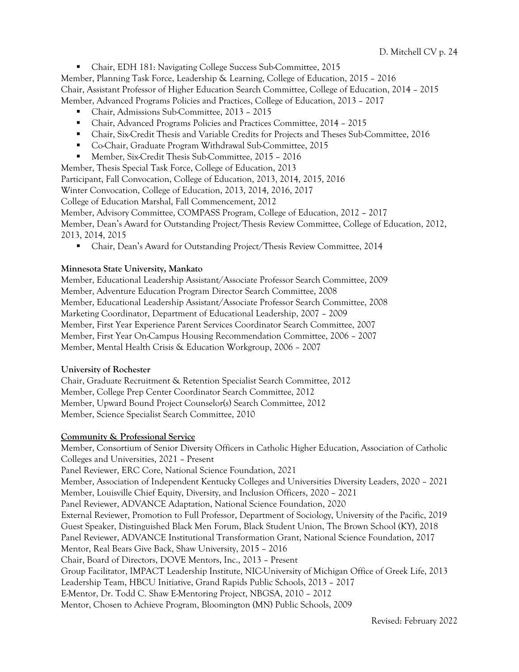§ Chair, EDH 181: Navigating College Success Sub-Committee, 2015

Member, Planning Task Force, Leadership & Learning, College of Education, 2015 – 2016

Chair, Assistant Professor of Higher Education Search Committee, College of Education, 2014 – 2015

Member, Advanced Programs Policies and Practices, College of Education, 2013 – 2017

- § Chair, Admissions Sub-Committee, 2013 2015
- § Chair, Advanced Programs Policies and Practices Committee, 2014 2015
- Chair, Six-Credit Thesis and Variable Credits for Projects and Theses Sub-Committee, 2016
- Co-Chair, Graduate Program Withdrawal Sub-Committee, 2015
- § Member, Six-Credit Thesis Sub-Committee, 2015 2016

Member, Thesis Special Task Force, College of Education, 2013

Participant, Fall Convocation, College of Education, 2013, 2014, 2015, 2016

Winter Convocation, College of Education, 2013, 2014, 2016, 2017

College of Education Marshal, Fall Commencement, 2012

Member, Advisory Committee, COMPASS Program, College of Education, 2012 – 2017

Member, Dean's Award for Outstanding Project/Thesis Review Committee, College of Education, 2012, 2013, 2014, 2015

■ Chair, Dean's Award for Outstanding Project/Thesis Review Committee, 2014

#### **Minnesota State University, Mankato**

Member, Educational Leadership Assistant/Associate Professor Search Committee, 2009 Member, Adventure Education Program Director Search Committee, 2008 Member, Educational Leadership Assistant/Associate Professor Search Committee, 2008 Marketing Coordinator, Department of Educational Leadership, 2007 – 2009 Member, First Year Experience Parent Services Coordinator Search Committee, 2007 Member, First Year On-Campus Housing Recommendation Committee, 2006 – 2007 Member, Mental Health Crisis & Education Workgroup, 2006 – 2007

#### **University of Rochester**

Chair, Graduate Recruitment & Retention Specialist Search Committee, 2012 Member, College Prep Center Coordinator Search Committee, 2012 Member, Upward Bound Project Counselor(s) Search Committee, 2012 Member, Science Specialist Search Committee, 2010

# **Community & Professional Service**

Member, Consortium of Senior Diversity Officers in Catholic Higher Education, Association of Catholic Colleges and Universities, 2021 – Present Panel Reviewer, ERC Core, National Science Foundation, 2021 Member, Association of Independent Kentucky Colleges and Universities Diversity Leaders, 2020 – 2021 Member, Louisville Chief Equity, Diversity, and Inclusion Officers, 2020 – 2021 Panel Reviewer, ADVANCE Adaptation, National Science Foundation, 2020 External Reviewer, Promotion to Full Professor, Department of Sociology, University of the Pacific, 2019 Guest Speaker, Distinguished Black Men Forum, Black Student Union, The Brown School (KY), 2018 Panel Reviewer, ADVANCE Institutional Transformation Grant, National Science Foundation, 2017 Mentor, Real Bears Give Back, Shaw University, 2015 – 2016 Chair, Board of Directors, DOVE Mentors, Inc., 2013 – Present Group Facilitator, IMPACT Leadership Institute, NIC-University of Michigan Office of Greek Life, 2013 Leadership Team, HBCU Initiative, Grand Rapids Public Schools, 2013 – 2017 E-Mentor, Dr. Todd C. Shaw E-Mentoring Project, NBGSA, 2010 – 2012 Mentor, Chosen to Achieve Program, Bloomington (MN) Public Schools, 2009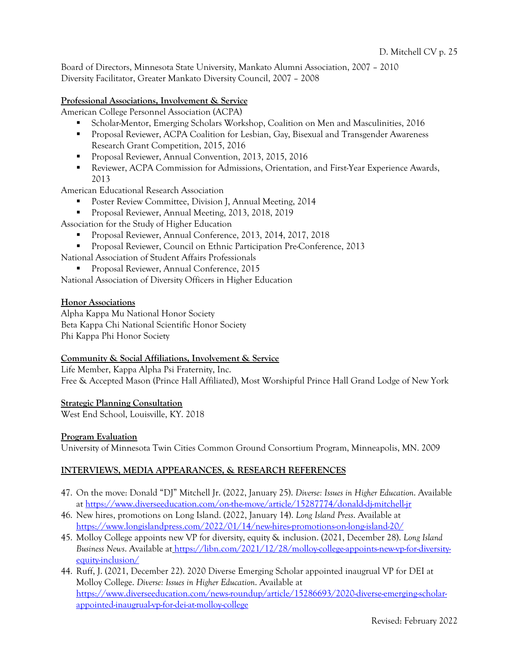Board of Directors, Minnesota State University, Mankato Alumni Association, 2007 – 2010 Diversity Facilitator, Greater Mankato Diversity Council, 2007 – 2008

### **Professional Associations, Involvement & Service**

American College Personnel Association (ACPA)

- Scholar-Mentor, Emerging Scholars Workshop, Coalition on Men and Masculinities, 2016
- Proposal Reviewer, ACPA Coalition for Lesbian, Gay, Bisexual and Transgender Awareness Research Grant Competition, 2015, 2016
- § Proposal Reviewer, Annual Convention, 2013, 2015, 2016
- Reviewer, ACPA Commission for Admissions, Orientation, and First-Year Experience Awards, 2013

American Educational Research Association

- § Poster Review Committee, Division J, Annual Meeting, 2014
- Proposal Reviewer, Annual Meeting, 2013, 2018, 2019

Association for the Study of Higher Education

- § Proposal Reviewer, Annual Conference, 2013, 2014, 2017, 2018
- Proposal Reviewer, Council on Ethnic Participation Pre-Conference, 2013
- National Association of Student Affairs Professionals

§ Proposal Reviewer, Annual Conference, 2015

National Association of Diversity Officers in Higher Education

#### **Honor Associations**

Alpha Kappa Mu National Honor Society Beta Kappa Chi National Scientific Honor Society Phi Kappa Phi Honor Society

#### **Community & Social Affiliations, Involvement & Service**

Life Member, Kappa Alpha Psi Fraternity, Inc. Free & Accepted Mason (Prince Hall Affiliated), Most Worshipful Prince Hall Grand Lodge of New York

#### **Strategic Planning Consultation**

West End School, Louisville, KY. 2018

#### **Program Evaluation**

University of Minnesota Twin Cities Common Ground Consortium Program, Minneapolis, MN. 2009

# **INTERVIEWS, MEDIA APPEARANCES, & RESEARCH REFERENCES**

- 47. On the move: Donald "DJ" Mitchell Jr. (2022, January 25). *Diverse: Issues in Higher Education*. Available at https://www.diverseeducation.com/on-the-move/article/15287774/donald-dj-mitchell-jr
- 46. New hires, promotions on Long Island. (2022, January 14). *Long Island Press*. Available at https://www.longislandpress.com/2022/01/14/new-hires-promotions-on-long-island-20/
- 45. Molloy College appoints new VP for diversity, equity & inclusion. (2021, December 28). *Long Island Business News*. Available at https://libn.com/2021/12/28/molloy-college-appoints-new-vp-for-diversityequity-inclusion/
- 44. Ruff, J. (2021, December 22). 2020 Diverse Emerging Scholar appointed inaugrual VP for DEI at Molloy College. *Diverse: Issues in Higher Education*. Available at https://www.diverseeducation.com/news-roundup/article/15286693/2020-diverse-emerging-scholarappointed-inaugrual-vp-for-dei-at-molloy-college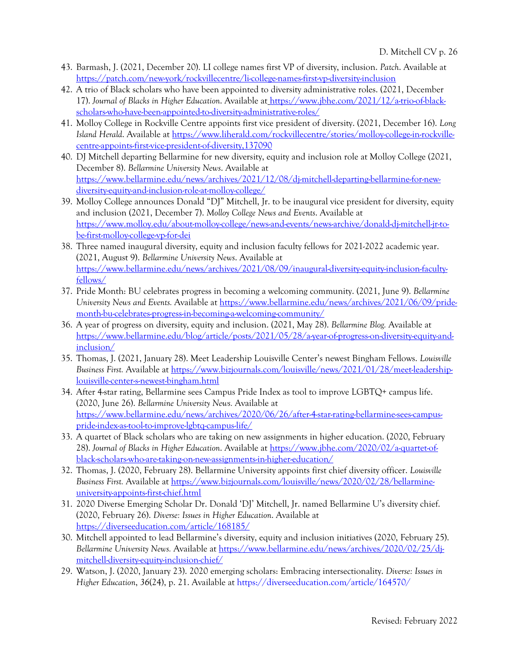- 43. Barmash, J. (2021, December 20). LI college names first VP of diversity, inclusion. *Patch*. Available at https://patch.com/new-york/rockvillecentre/li-college-names-first-vp-diversity-inclusion
- 42. A trio of Black scholars who have been appointed to diversity administrative roles. (2021, December 17). *Journal of Blacks in Higher Education*. Available at https://www.jbhe.com/2021/12/a-trio-of-blackscholars-who-have-been-appointed-to-diversity-administrative-roles/
- 41. Molloy College in Rockville Centre appoints first vice president of diversity. (2021, December 16). *Long Island Herald*. Available at https://www.liherald.com/rockvillecentre/stories/molloy-college-in-rockvillecentre-appoints-first-vice-president-of-diversity,137090
- 40. DJ Mitchell departing Bellarmine for new diversity, equity and inclusion role at Molloy College (2021, December 8). *Bellarmine University News*. Available at https://www.bellarmine.edu/news/archives/2021/12/08/dj-mitchell-departing-bellarmine-for-newdiversity-equity-and-inclusion-role-at-molloy-college/
- 39. Molloy College announces Donald "DJ" Mitchell, Jr. to be inaugural vice president for diversity, equity and inclusion (2021, December 7). *Molloy College News and Events*. Available at https://www.molloy.edu/about-molloy-college/news-and-events/news-archive/donald-dj-mitchell-jr-tobe-first-molloy-college-vp-for-dei
- 38. Three named inaugural diversity, equity and inclusion faculty fellows for 2021-2022 academic year. (2021, August 9). *Bellarmine University News*. Available at https://www.bellarmine.edu/news/archives/2021/08/09/inaugural-diversity-equity-inclusion-facultyfellows/
- 37. Pride Month: BU celebrates progress in becoming a welcoming community. (2021, June 9). *Bellarmine University News and Events.* Available at https://www.bellarmine.edu/news/archives/2021/06/09/pridemonth-bu-celebrates-progress-in-becoming-a-welcoming-community/
- 36. A year of progress on diversity, equity and inclusion. (2021, May 28). *Bellarmine Blog.* Available at https://www.bellarmine.edu/blog/article/posts/2021/05/28/a-year-of-progress-on-diversity-equity-andinclusion/
- 35. Thomas, J. (2021, January 28). Meet Leadership Louisville Center's newest Bingham Fellows. *Louisville Business First.* Available at https://www.bizjournals.com/louisville/news/2021/01/28/meet-leadershiplouisville-center-s-newest-bingham.html
- 34. After 4-star rating, Bellarmine sees Campus Pride Index as tool to improve LGBTQ+ campus life. (2020, June 26). *Bellarmine University News.* Available at https://www.bellarmine.edu/news/archives/2020/06/26/after-4-star-rating-bellarmine-sees-campuspride-index-as-tool-to-improve-lgbtq-campus-life/
- 33. A quartet of Black scholars who are taking on new assignments in higher education. (2020, February 28). *Journal of Blacks in Higher Education*. Available at https://www.jbhe.com/2020/02/a-quartet-ofblack-scholars-who-are-taking-on-new-assignments-in-higher-education/
- 32. Thomas, J. (2020, February 28). Bellarmine University appoints first chief diversity officer. *Louisville Business First.* Available at https://www.bizjournals.com/louisville/news/2020/02/28/bellarmineuniversity-appoints-first-chief.html
- 31. 2020 Diverse Emerging Scholar Dr. Donald 'DJ' Mitchell, Jr. named Bellarmine U's diversity chief. (2020, February 26). *Diverse: Issues in Higher Education*. Available at https://diverseeducation.com/article/168185/
- 30. Mitchell appointed to lead Bellarmine's diversity, equity and inclusion initiatives (2020, February 25). *Bellarmine University News.* Available at https://www.bellarmine.edu/news/archives/2020/02/25/djmitchell-diversity-equity-inclusion-chief/
- 29. Watson, J. (2020, January 23). 2020 emerging scholars: Embracing intersectionality. *Diverse: Issues in Higher Education*, *36*(24), p. 21. Available at https://diverseeducation.com/article/164570/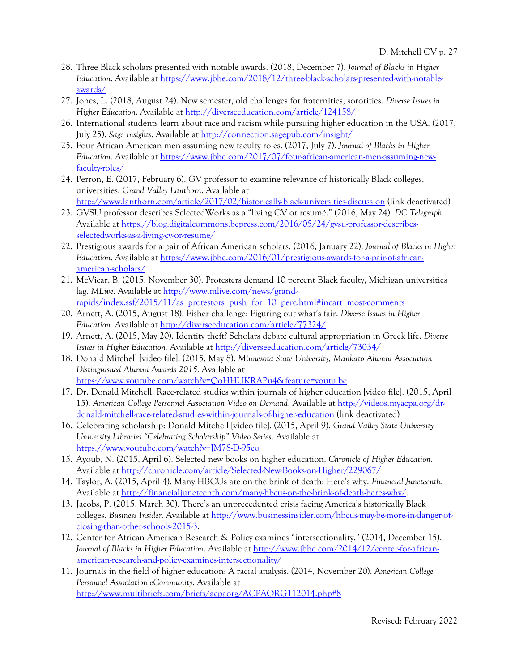- 28. Three Black scholars presented with notable awards. (2018, December 7). *Journal of Blacks in Higher Education*. Available at https://www.jbhe.com/2018/12/three-black-scholars-presented-with-notableawards/
- 27. Jones, L. (2018, August 24). New semester, old challenges for fraternities, sororities. *Diverse Issues in Higher Education*. Available at http://diverseeducation.com/article/124158/
- 26. International students learn about race and racism while pursuing higher education in the USA. (2017, July 25). *Sage Insights*. Available at http://connection.sagepub.com/insight/
- 25. Four African American men assuming new faculty roles. (2017, July 7). *Journal of Blacks in Higher Education*. Available at https://www.jbhe.com/2017/07/four-african-american-men-assuming-newfaculty-roles/
- 24. Perron, E. (2017, February 6). GV professor to examine relevance of historically Black colleges, universities. *Grand Valley Lanthorn*. Available at http://www.lanthorn.com/article/2017/02/historically-black-universities-discussion (link deactivated)
- 23. GVSU professor describes SelectedWorks as a "living CV or resumé." (2016, May 24). *DC Telegraph*. Available at https://blog.digitalcommons.bepress.com/2016/05/24/gvsu-professor-describesselectedworks-as-a-living-cv-or-resume/
- 22. Prestigious awards for a pair of African American scholars. (2016, January 22). *Journal of Blacks in Higher Education*. Available at https://www.jbhe.com/2016/01/prestigious-awards-for-a-pair-of-africanamerican-scholars/
- 21. McVicar, B. (2015, November 30). Protesters demand 10 percent Black faculty, Michigan universities lag. *MLive*. Available at http://www.mlive.com/news/grandrapids/index.ssf/2015/11/as\_protestors\_push\_for\_10\_perc.html#incart\_most-comments
- 20. Arnett, A. (2015, August 18). Fisher challenge: Figuring out what's fair. *Diverse Issues in Higher Education.* Available at http://diverseeducation.com/article/77324/
- 19. Arnett, A. (2015, May 20). Identity theft? Scholars debate cultural appropriation in Greek life. *Diverse Issues in Higher Education.* Available at http://diverseeducation.com/article/73034/
- 18. Donald Mitchell [video file]. (2015, May 8). *Minnesota State University, Mankato Alumni Association Distinguished Alumni Awards 2015.* Available at https://www.youtube.com/watch?v=QoHHUKRAPu4&feature=youtu.be
- 17. Dr. Donald Mitchell: Race-related studies within journals of higher education [video file]. (2015, April 15). *American College Personnel Association Video on Demand*. Available at http://videos.myacpa.org/drdonald-mitchell-race-related-studies-within-journals-of-higher-education (link deactivated)
- 16. Celebrating scholarship: Donald Mitchell [video file]. (2015, April 9). *Grand Valley State University University Libraries "Celebrating Scholarship" Video Series*. Available at https://www.youtube.com/watch?v=JM78-D-95eo
- 15. Ayoub, N. (2015, April 6). Selected new books on higher education. *Chronicle of Higher Education*. Available at http://chronicle.com/article/Selected-New-Books-on-Higher/229067/
- 14. Taylor, A. (2015, April 4). Many HBCUs are on the brink of death: Here's why. *Financial Juneteenth*. Available at http://financialjuneteenth.com/many-hbcus-on-the-brink-of-death-heres-why/.
- 13. Jacobs, P. (2015, March 30). There's an unprecedented crisis facing America's historically Black colleges. *Business Insider*. Available at http://www.businessinsider.com/hbcus-may-be-more-in-danger-ofclosing-than-other-schools-2015-3.
- 12. Center for African American Research & Policy examines "intersectionality." (2014, December 15). *Journal of Blacks in Higher Education*. Available at http://www.jbhe.com/2014/12/center-for-africanamerican-research-and-policy-examines-intersectionality/
- 11. Journals in the field of higher education: A racial analysis. (2014, November 20). A*merican College Personnel Association eCommunity*. Available at http://www.multibriefs.com/briefs/acpaorg/ACPAORG112014.php#8